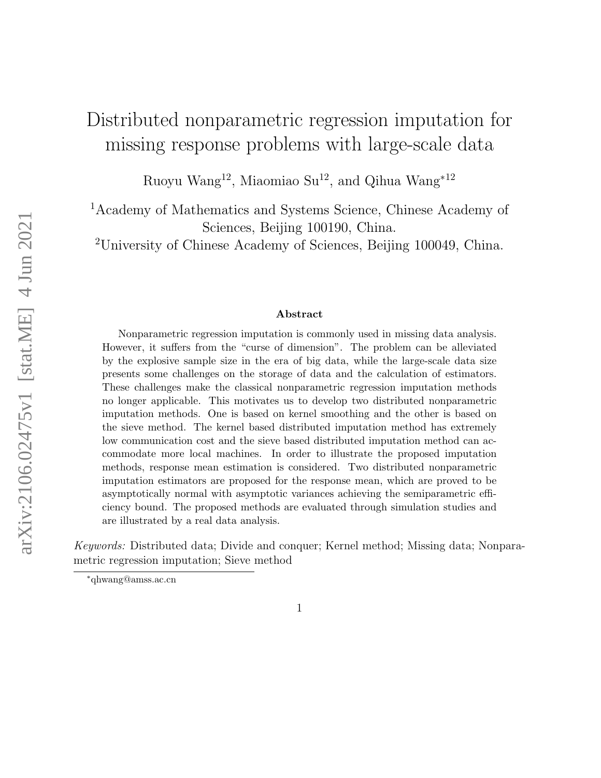# Distributed nonparametric regression imputation for missing response problems with large-scale data

Ruoyu Wang<sup>12</sup>, Miaomiao Su<sup>12</sup>, and Qihua Wang<sup>∗12</sup>

<sup>1</sup>Academy of Mathematics and Systems Science, Chinese Academy of Sciences, Beijing 100190, China.

<sup>2</sup>University of Chinese Academy of Sciences, Beijing 100049, China.

#### Abstract

Nonparametric regression imputation is commonly used in missing data analysis. However, it suffers from the "curse of dimension". The problem can be alleviated by the explosive sample size in the era of big data, while the large-scale data size presents some challenges on the storage of data and the calculation of estimators. These challenges make the classical nonparametric regression imputation methods no longer applicable. This motivates us to develop two distributed nonparametric imputation methods. One is based on kernel smoothing and the other is based on the sieve method. The kernel based distributed imputation method has extremely low communication cost and the sieve based distributed imputation method can accommodate more local machines. In order to illustrate the proposed imputation methods, response mean estimation is considered. Two distributed nonparametric imputation estimators are proposed for the response mean, which are proved to be asymptotically normal with asymptotic variances achieving the semiparametric efficiency bound. The proposed methods are evaluated through simulation studies and are illustrated by a real data analysis.

Keywords: Distributed data; Divide and conquer; Kernel method; Missing data; Nonparametric regression imputation; Sieve method

<sup>∗</sup>qhwang@amss.ac.cn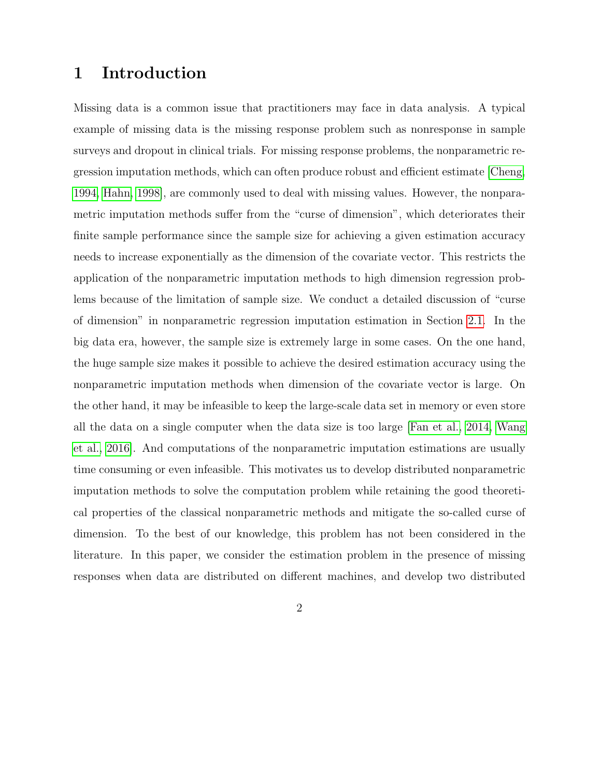# 1 Introduction

Missing data is a common issue that practitioners may face in data analysis. A typical example of missing data is the missing response problem such as nonresponse in sample surveys and dropout in clinical trials. For missing response problems, the nonparametric regression imputation methods, which can often produce robust and efficient estimate [\[Cheng,](#page-40-0) [1994,](#page-40-0) [Hahn, 1998\]](#page-40-1), are commonly used to deal with missing values. However, the nonparametric imputation methods suffer from the "curse of dimension", which deteriorates their finite sample performance since the sample size for achieving a given estimation accuracy needs to increase exponentially as the dimension of the covariate vector. This restricts the application of the nonparametric imputation methods to high dimension regression problems because of the limitation of sample size. We conduct a detailed discussion of "curse of dimension" in nonparametric regression imputation estimation in Section [2.1.](#page-4-0) In the big data era, however, the sample size is extremely large in some cases. On the one hand, the huge sample size makes it possible to achieve the desired estimation accuracy using the nonparametric imputation methods when dimension of the covariate vector is large. On the other hand, it may be infeasible to keep the large-scale data set in memory or even store all the data on a single computer when the data size is too large [\[Fan et al., 2014,](#page-40-2) [Wang](#page-42-0) [et al., 2016\]](#page-42-0). And computations of the nonparametric imputation estimations are usually time consuming or even infeasible. This motivates us to develop distributed nonparametric imputation methods to solve the computation problem while retaining the good theoretical properties of the classical nonparametric methods and mitigate the so-called curse of dimension. To the best of our knowledge, this problem has not been considered in the literature. In this paper, we consider the estimation problem in the presence of missing responses when data are distributed on different machines, and develop two distributed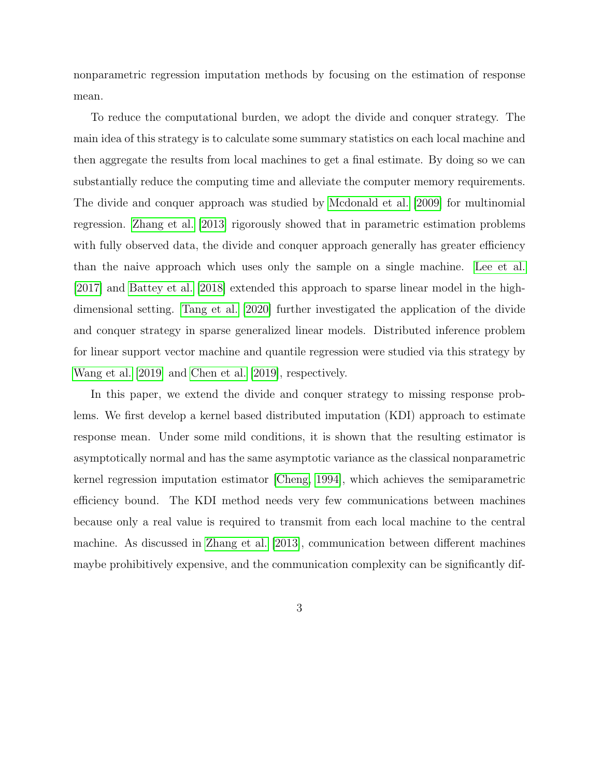nonparametric regression imputation methods by focusing on the estimation of response mean.

To reduce the computational burden, we adopt the divide and conquer strategy. The main idea of this strategy is to calculate some summary statistics on each local machine and then aggregate the results from local machines to get a final estimate. By doing so we can substantially reduce the computing time and alleviate the computer memory requirements. The divide and conquer approach was studied by [Mcdonald et al.](#page-41-0) [\[2009\]](#page-41-0) for multinomial regression. [Zhang et al.](#page-42-1) [\[2013\]](#page-42-1) rigorously showed that in parametric estimation problems with fully observed data, the divide and conquer approach generally has greater efficiency than the naive approach which uses only the sample on a single machine. [Lee et al.](#page-41-1) [\[2017\]](#page-41-1) and [Battey et al.](#page-39-0) [\[2018\]](#page-39-0) extended this approach to sparse linear model in the highdimensional setting. [Tang et al.](#page-42-2) [\[2020\]](#page-42-2) further investigated the application of the divide and conquer strategy in sparse generalized linear models. Distributed inference problem for linear support vector machine and quantile regression were studied via this strategy by [Wang et al.](#page-42-3) [\[2019\]](#page-42-3) and [Chen et al.](#page-40-3) [\[2019\]](#page-40-3), respectively.

In this paper, we extend the divide and conquer strategy to missing response problems. We first develop a kernel based distributed imputation (KDI) approach to estimate response mean. Under some mild conditions, it is shown that the resulting estimator is asymptotically normal and has the same asymptotic variance as the classical nonparametric kernel regression imputation estimator [\[Cheng, 1994\]](#page-40-0), which achieves the semiparametric efficiency bound. The KDI method needs very few communications between machines because only a real value is required to transmit from each local machine to the central machine. As discussed in [Zhang et al.](#page-42-1) [\[2013\]](#page-42-1), communication between different machines maybe prohibitively expensive, and the communication complexity can be significantly dif-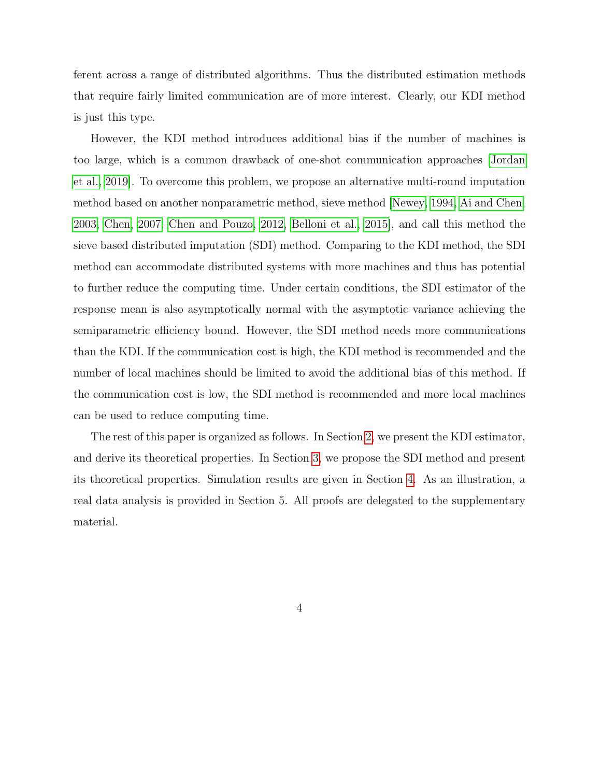ferent across a range of distributed algorithms. Thus the distributed estimation methods that require fairly limited communication are of more interest. Clearly, our KDI method is just this type.

However, the KDI method introduces additional bias if the number of machines is too large, which is a common drawback of one-shot communication approaches [\[Jordan](#page-41-2) [et al., 2019\]](#page-41-2). To overcome this problem, we propose an alternative multi-round imputation method based on another nonparametric method, sieve method [\[Newey, 1994,](#page-42-4) [Ai and Chen,](#page-39-1) [2003,](#page-39-1) [Chen, 2007,](#page-40-4) [Chen and Pouzo, 2012,](#page-40-5) [Belloni et al., 2015\]](#page-39-2), and call this method the sieve based distributed imputation (SDI) method. Comparing to the KDI method, the SDI method can accommodate distributed systems with more machines and thus has potential to further reduce the computing time. Under certain conditions, the SDI estimator of the response mean is also asymptotically normal with the asymptotic variance achieving the semiparametric efficiency bound. However, the SDI method needs more communications than the KDI. If the communication cost is high, the KDI method is recommended and the number of local machines should be limited to avoid the additional bias of this method. If the communication cost is low, the SDI method is recommended and more local machines can be used to reduce computing time.

The rest of this paper is organized as follows. In Section [2,](#page-4-1) we present the KDI estimator, and derive its theoretical properties. In Section [3,](#page-9-0) we propose the SDI method and present its theoretical properties. Simulation results are given in Section [4.](#page-15-0) As an illustration, a real data analysis is provided in Section 5. All proofs are delegated to the supplementary material.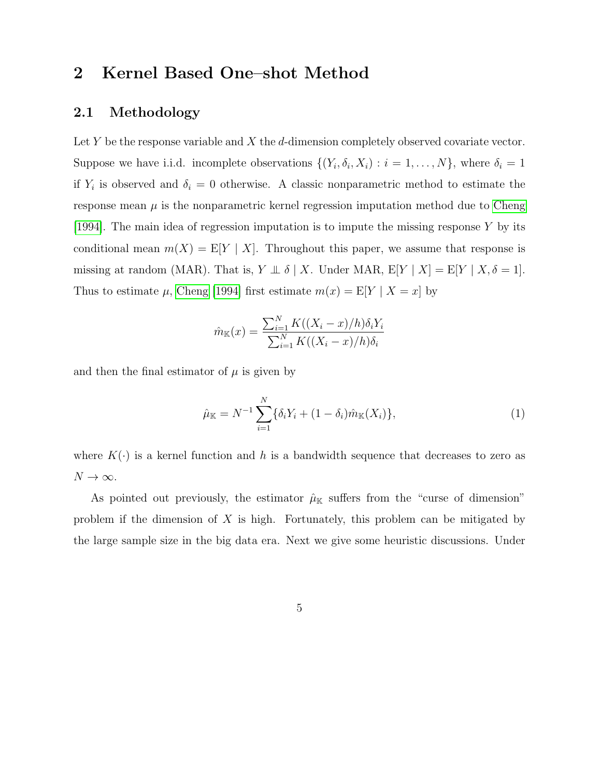## <span id="page-4-1"></span>2 Kernel Based One–shot Method

## <span id="page-4-0"></span>2.1 Methodology

Let  $Y$  be the response variable and  $X$  the  $d$ -dimension completely observed covariate vector. Suppose we have i.i.d. incomplete observations  $\{(Y_i, \delta_i, X_i) : i = 1, ..., N\}$ , where  $\delta_i = 1$ if  $Y_i$  is observed and  $\delta_i = 0$  otherwise. A classic nonparametric method to estimate the response mean  $\mu$  is the nonparametric kernel regression imputation method due to [Cheng](#page-40-0) [\[1994\]](#page-40-0). The main idea of regression imputation is to impute the missing response Y by its conditional mean  $m(X) = E[Y | X]$ . Throughout this paper, we assume that response is missing at random (MAR). That is,  $Y \perp \!\!\!\perp \delta \mid X$ . Under MAR,  $E[Y \mid X] = E[Y \mid X, \delta = 1]$ . Thus to estimate  $\mu$ , [Cheng](#page-40-0) [\[1994\]](#page-40-0) first estimate  $m(x) = E[Y | X = x]$  by

$$
\hat{m}_{\mathbb{K}}(x) = \frac{\sum_{i=1}^{N} K((X_i - x)/h)\delta_i Y_i}{\sum_{i=1}^{N} K((X_i - x)/h)\delta_i}
$$

and then the final estimator of  $\mu$  is given by

<span id="page-4-2"></span>
$$
\hat{\mu}_{\mathbb{K}} = N^{-1} \sum_{i=1}^{N} \{ \delta_i Y_i + (1 - \delta_i) \hat{m}_{\mathbb{K}}(X_i) \},\tag{1}
$$

where  $K(\cdot)$  is a kernel function and h is a bandwidth sequence that decreases to zero as  $N \to \infty$ .

As pointed out previously, the estimator  $\hat{\mu}_{\mathbb{K}}$  suffers from the "curse of dimension" problem if the dimension of  $X$  is high. Fortunately, this problem can be mitigated by the large sample size in the big data era. Next we give some heuristic discussions. Under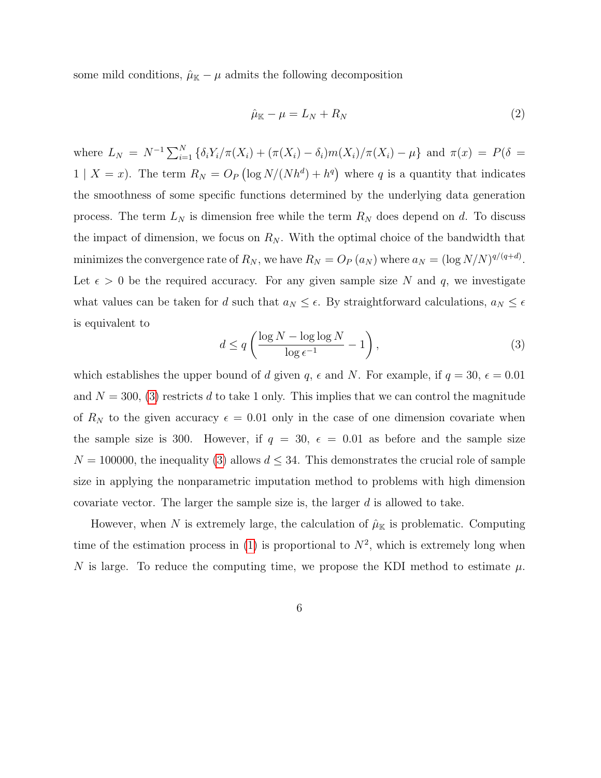some mild conditions,  $\hat{\mu}_{\mathbb{K}} - \mu$  admits the following decomposition

$$
\hat{\mu}_{\mathbb{K}} - \mu = L_N + R_N \tag{2}
$$

where  $L_N = N^{-1} \sum_{i=1}^N {\{\delta_i Y_i / \pi(X_i) + (\pi(X_i) - \delta_i)m(X_i) / \pi(X_i) - \mu\}}$  and  $\pi(x) = P(\delta =$  $1 | X = x$ ). The term  $R_N = O_P(\log N/(N h^d) + h^q)$  where q is a quantity that indicates the smoothness of some specific functions determined by the underlying data generation process. The term  $L_N$  is dimension free while the term  $R_N$  does depend on d. To discuss the impact of dimension, we focus on  $R_N$ . With the optimal choice of the bandwidth that minimizes the convergence rate of  $R_N$ , we have  $R_N = O_P(a_N)$  where  $a_N = (\log N/N)^{q/(q+d)}$ . Let  $\epsilon > 0$  be the required accuracy. For any given sample size N and q, we investigate what values can be taken for d such that  $a_N \leq \epsilon$ . By straightforward calculations,  $a_N \leq \epsilon$ is equivalent to

<span id="page-5-0"></span>
$$
d \le q \left( \frac{\log N - \log \log N}{\log \epsilon^{-1}} - 1 \right),\tag{3}
$$

which establishes the upper bound of d given  $q, \epsilon$  and N. For example, if  $q = 30, \epsilon = 0.01$ and  $N = 300$ , [\(3\)](#page-5-0) restricts d to take 1 only. This implies that we can control the magnitude of  $R_N$  to the given accuracy  $\epsilon = 0.01$  only in the case of one dimension covariate when the sample size is 300. However, if  $q = 30, \epsilon = 0.01$  as before and the sample size  $N = 100000$ , the inequality [\(3\)](#page-5-0) allows  $d \leq 34$ . This demonstrates the crucial role of sample size in applying the nonparametric imputation method to problems with high dimension covariate vector. The larger the sample size is, the larger  $d$  is allowed to take.

However, when N is extremely large, the calculation of  $\hat{\mu}_{\mathbb{K}}$  is problematic. Computing time of the estimation process in [\(1\)](#page-4-2) is proportional to  $N^2$ , which is extremely long when N is large. To reduce the computing time, we propose the KDI method to estimate  $\mu$ .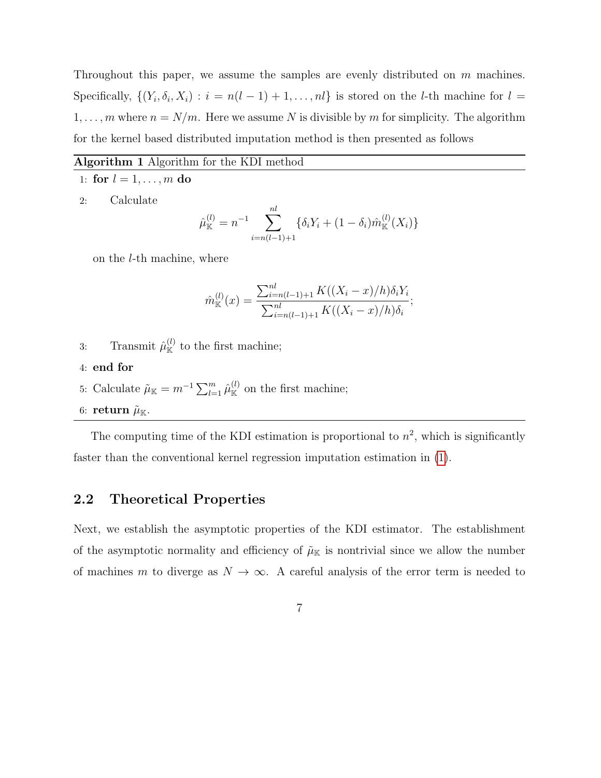Throughout this paper, we assume the samples are evenly distributed on m machines. Specifically,  $\{(Y_i, \delta_i, X_i) : i = n(l-1) + 1, \ldots, nl\}$  is stored on the *l*-th machine for  $l =$  $1, \ldots, m$  where  $n = N/m$ . Here we assume N is divisible by m for simplicity. The algorithm for the kernel based distributed imputation method is then presented as follows

#### Algorithm 1 Algorithm for the KDI method

- 1: for  $l = 1, ..., m$  do
- 2: Calculate

$$
\hat{\mu}_{\mathbb{K}}^{(l)} = n^{-1} \sum_{i=n(l-1)+1}^{nl} \{ \delta_i Y_i + (1 - \delta_i) \hat{m}_{\mathbb{K}}^{(l)}(X_i) \}
$$

on the l-th machine, where

$$
\hat{m}_{\mathbb{K}}^{(l)}(x) = \frac{\sum_{i=n(l-1)+1}^{nl} K((X_i - x)/h)\delta_i Y_i}{\sum_{i=n(l-1)+1}^{nl} K((X_i - x)/h)\delta_i};
$$

- 3: Transmit  $\hat{\mu}_{\mathbb{K}}^{(l)}$  to the first machine;
- 4: end for
- 5: Calculate  $\tilde{\mu}_{\mathbb{K}} = m^{-1} \sum_{l=1}^{m} \hat{\mu}_{\mathbb{K}}^{(l)}$  on the first machine;
- 6: return  $\tilde{\mu}_{\mathbb{K}}$ .

The computing time of the KDI estimation is proportional to  $n^2$ , which is significantly faster than the conventional kernel regression imputation estimation in [\(1\)](#page-4-2).

### 2.2 Theoretical Properties

Next, we establish the asymptotic properties of the KDI estimator. The establishment of the asymptotic normality and efficiency of  $\tilde{\mu}_{\mathbb{K}}$  is nontrivial since we allow the number of machines m to diverge as  $N \to \infty$ . A careful analysis of the error term is needed to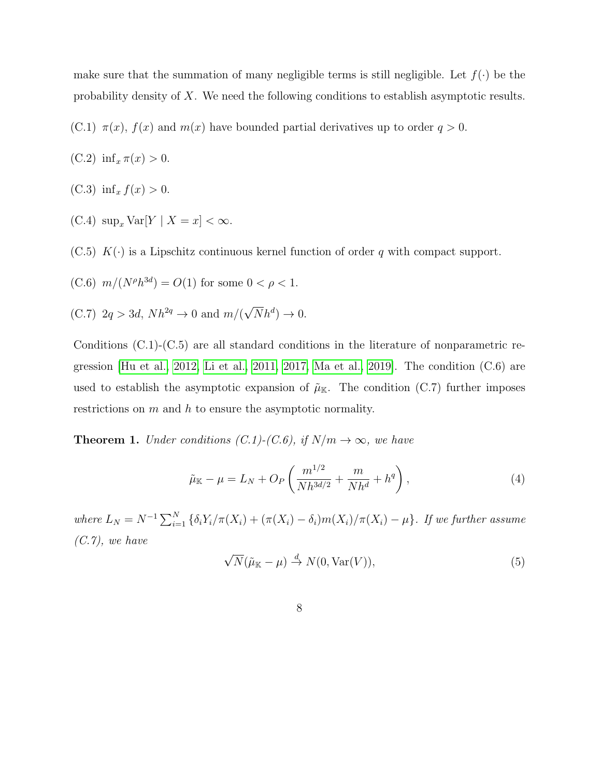make sure that the summation of many negligible terms is still negligible. Let  $f(\cdot)$  be the probability density of X. We need the following conditions to establish asymptotic results.

(C.1)  $\pi(x)$ ,  $f(x)$  and  $m(x)$  have bounded partial derivatives up to order  $q > 0$ .

$$
(C.2) infx \pi(x) > 0.
$$

- (C.3) inf<sub>x</sub>  $f(x) > 0$ .
- (C.4)  $\sup_x \text{Var}[Y \mid X = x] < \infty$ .
- $(C.5) K(\cdot)$  is a Lipschitz continuous kernel function of order q with compact support.

(C.6) 
$$
m/(N^{\rho}h^{3d}) = O(1)
$$
 for some  $0 < \rho < 1$ .

(C.7)  $2q > 3d$ ,  $Nh^{2q} \rightarrow 0$  and  $m/($ √  $\overline{N}h^{d})\rightarrow 0.$ 

Conditions (C.1)-(C.5) are all standard conditions in the literature of nonparametric regression [\[Hu et al., 2012,](#page-41-3) [Li et al., 2011,](#page-41-4) [2017,](#page-41-5) [Ma et al., 2019\]](#page-41-6). The condition (C.6) are used to establish the asymptotic expansion of  $\tilde{\mu}_{K}$ . The condition (C.7) further imposes restrictions on  $m$  and  $h$  to ensure the asymptotic normality.

**Theorem 1.** Under conditions  $(C.1)-(C.6)$ , if  $N/m \rightarrow \infty$ , we have

<span id="page-7-0"></span>
$$
\tilde{\mu}_{\mathbb{K}} - \mu = L_N + O_P\left(\frac{m^{1/2}}{Nh^{3d/2}} + \frac{m}{Nh^d} + h^q\right),\tag{4}
$$

where  $L_N = N^{-1} \sum_{i=1}^N \{ \delta_i Y_i / \pi(X_i) + (\pi(X_i) - \delta_i) m(X_i) / \pi(X_i) - \mu \}.$  If we further assume  $(C.7)$ , we have √

$$
\sqrt{N}(\tilde{\mu}_{\mathbb{K}} - \mu) \stackrel{d}{\to} N(0, \text{Var}(V)),\tag{5}
$$

8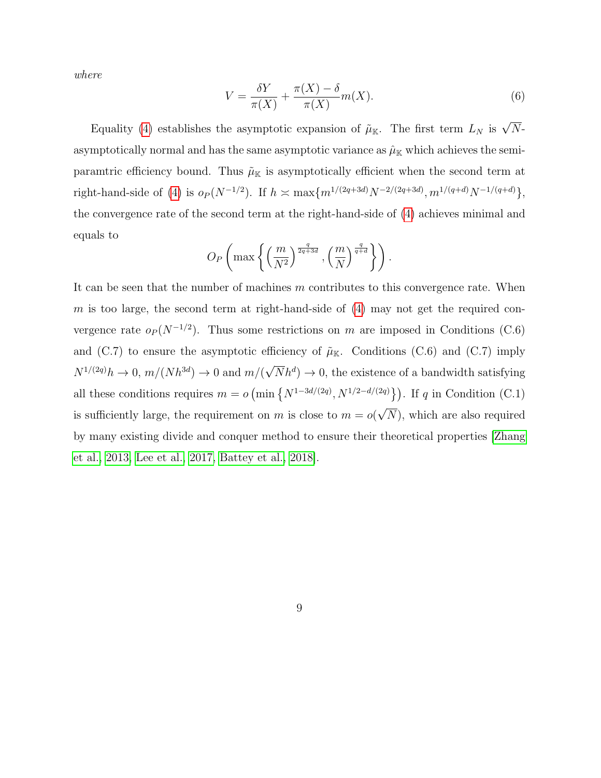where

$$
V = \frac{\delta Y}{\pi(X)} + \frac{\pi(X) - \delta}{\pi(X)} m(X).
$$
\n(6)

Equality [\(4\)](#page-7-0) establishes the asymptotic expansion of  $\tilde{\mu}_{K}$ . The first term  $L_N$  is  $\sqrt{N}$ asymptotically normal and has the same asymptotic variance as  $\hat{\mu}_{K}$  which achieves the semiparamtric efficiency bound. Thus  $\tilde{\mu}_{\mathbb{K}}$  is asymptotically efficient when the second term at right-hand-side of [\(4\)](#page-7-0) is  $o_P(N^{-1/2})$ . If  $h \asymp \max\{m^{1/(2q+3d)}N^{-2/(2q+3d)}, m^{1/(q+d)}N^{-1/(q+d)}\},$ the convergence rate of the second term at the right-hand-side of [\(4\)](#page-7-0) achieves minimal and equals to

$$
O_P\left(\max\left\{\left(\frac{m}{N^2}\right)^{\frac{q}{2q+3d}}, \left(\frac{m}{N}\right)^{\frac{q}{q+d}}\right\}\right).
$$

It can be seen that the number of machines  $m$  contributes to this convergence rate. When m is too large, the second term at right-hand-side of  $(4)$  may not get the required convergence rate  $o_P(N^{-1/2})$ . Thus some restrictions on m are imposed in Conditions (C.6) and (C.7) to ensure the asymptotic efficiency of  $\tilde{\mu}_{K}$ . Conditions (C.6) and (C.7) imply  $N^{1/(2q)}h \to 0, m/(Nh^{3d}) \to 0$  and  $m/($ √  $\overline{N}h^{d}$   $\rightarrow$  0, the existence of a bandwidth satisfying all these conditions requires  $m = o$  (min  $\{N^{1-3d/(2q)}, N^{1/2-d/(2q)}\}\)$ . If q in Condition (C.1) is sufficiently large, the requirement on m is close to  $m = o(\sqrt{N})$ , which are also required √ by many existing divide and conquer method to ensure their theoretical properties [\[Zhang](#page-42-1) [et al., 2013,](#page-42-1) [Lee et al., 2017,](#page-41-1) [Battey et al., 2018\]](#page-39-0).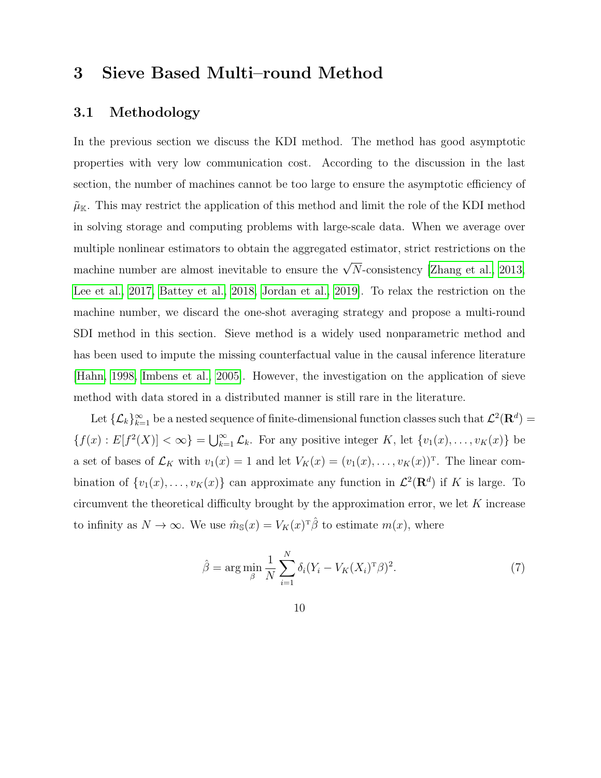# <span id="page-9-0"></span>3 Sieve Based Multi–round Method

## 3.1 Methodology

In the previous section we discuss the KDI method. The method has good asymptotic properties with very low communication cost. According to the discussion in the last section, the number of machines cannot be too large to ensure the asymptotic efficiency of  $\tilde{\mu}_{\mathbb{K}}$ . This may restrict the application of this method and limit the role of the KDI method in solving storage and computing problems with large-scale data. When we average over multiple nonlinear estimators to obtain the aggregated estimator, strict restrictions on the machine number are almost inevitable to ensure the  $\sqrt{N}$ -consistency [\[Zhang et al., 2013,](#page-42-1) [Lee et al., 2017,](#page-41-1) [Battey et al., 2018,](#page-39-0) [Jordan et al., 2019\]](#page-41-2). To relax the restriction on the machine number, we discard the one-shot averaging strategy and propose a multi-round SDI method in this section. Sieve method is a widely used nonparametric method and has been used to impute the missing counterfactual value in the causal inference literature [\[Hahn, 1998,](#page-40-1) [Imbens et al., 2005\]](#page-41-7). However, the investigation on the application of sieve method with data stored in a distributed manner is still rare in the literature.

Let  $\{\mathcal{L}_k\}_{k=1}^\infty$  be a nested sequence of finite-dimensional function classes such that  $\mathcal{L}^2(\mathbf{R}^d)$  =  ${f(x): E[f^{2}(X)] < \infty} = \bigcup_{k=1}^{\infty} \mathcal{L}_{k}$ . For any positive integer K, let  ${v_{1}(x), \ldots, v_{K}(x)}$  be a set of bases of  $\mathcal{L}_K$  with  $v_1(x) = 1$  and let  $V_K(x) = (v_1(x), \ldots, v_K(x))^T$ . The linear combination of  $\{v_1(x), \ldots, v_K(x)\}\)$  can approximate any function in  $\mathcal{L}^2(\mathbf{R}^d)$  if K is large. To circumvent the theoretical difficulty brought by the approximation error, we let  $K$  increase to infinity as  $N \to \infty$ . We use  $\hat{m}_{\mathbb{S}}(x) = V_K(x)^T \hat{\beta}$  to estimate  $m(x)$ , where

$$
\hat{\beta} = \arg\min_{\beta} \frac{1}{N} \sum_{i=1}^{N} \delta_i (Y_i - V_K(X_i)^T \beta)^2.
$$
 (7)

10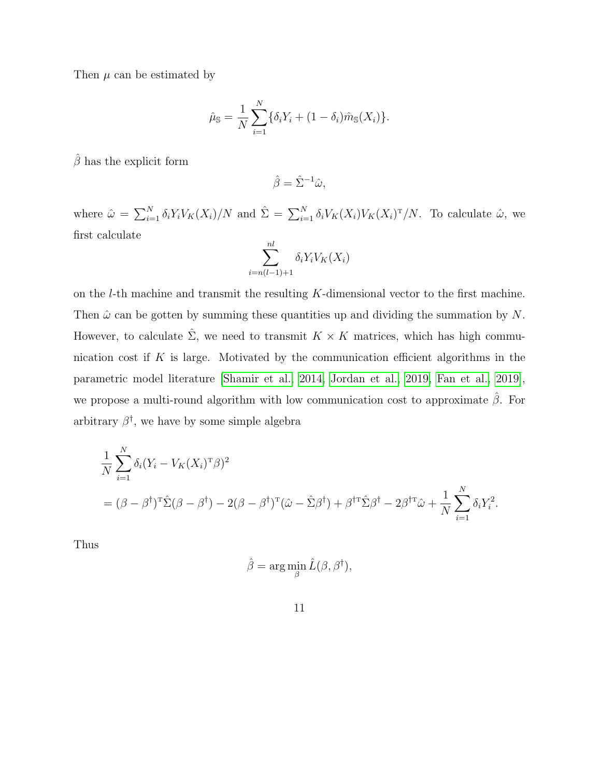Then  $\mu$  can be estimated by

$$
\hat{\mu}_{\mathbb{S}} = \frac{1}{N} \sum_{i=1}^{N} \{ \delta_i Y_i + (1 - \delta_i) \hat{m}_{\mathbb{S}}(X_i) \}.
$$

 $\hat{\beta}$  has the explicit form

$$
\hat{\beta} = \hat{\Sigma}^{-1}\hat{\omega},
$$

where  $\hat{\omega} = \sum_{i=1}^{N} \delta_i Y_i V_K(X_i) / N$  and  $\hat{\Sigma} = \sum_{i=1}^{N} \delta_i V_K(X_i) V_K(X_i)^T / N$ . To calculate  $\hat{\omega}$ , we first calculate

$$
\sum_{i=n(l-1)+1}^{nl} \delta_i Y_i V_K(X_i)
$$

on the l-th machine and transmit the resulting K-dimensional vector to the first machine. Then  $\hat{\omega}$  can be gotten by summing these quantities up and dividing the summation by N. However, to calculate  $\hat{\Sigma}$ , we need to transmit  $K \times K$  matrices, which has high communication cost if  $K$  is large. Motivated by the communication efficient algorithms in the parametric model literature [\[Shamir et al., 2014,](#page-42-5) [Jordan et al., 2019,](#page-41-2) [Fan et al., 2019\]](#page-40-6), we propose a multi-round algorithm with low communication cost to approximate  $\hat{\beta}$ . For arbitrary  $\beta^{\dagger}$ , we have by some simple algebra

$$
\frac{1}{N} \sum_{i=1}^{N} \delta_i (Y_i - V_K(X_i)^T \beta)^2
$$
  
=  $(\beta - \beta^{\dagger})^T \hat{\Sigma} (\beta - \beta^{\dagger}) - 2(\beta - \beta^{\dagger})^T (\hat{\omega} - \hat{\Sigma} \beta^{\dagger}) + \beta^{\dagger T} \hat{\Sigma} \beta^{\dagger} - 2\beta^{\dagger T} \hat{\omega} + \frac{1}{N} \sum_{i=1}^{N} \delta_i Y_i^2.$ 

Thus

$$
\hat{\beta} = \arg\min_{\beta} \hat{L}(\beta, \beta^{\dagger}),
$$

11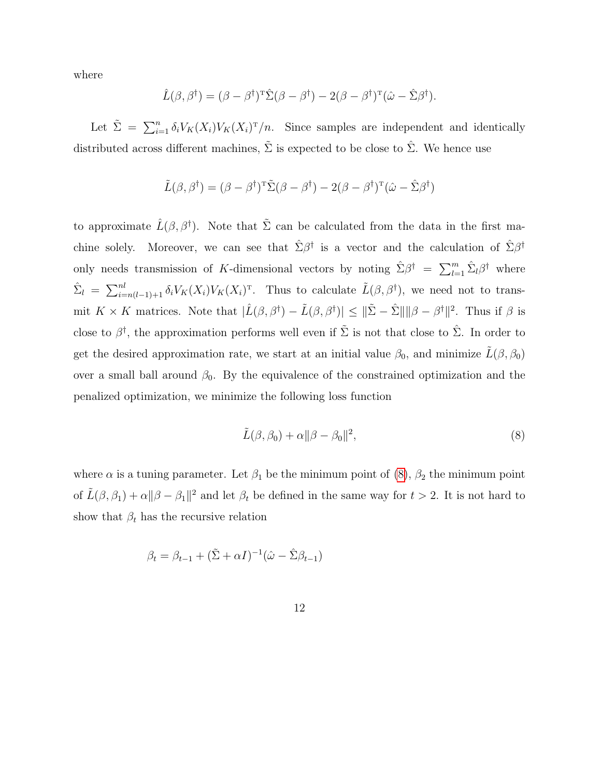where

$$
\hat{L}(\beta, \beta^{\dagger}) = (\beta - \beta^{\dagger})^{\mathrm{T}} \hat{\Sigma}(\beta - \beta^{\dagger}) - 2(\beta - \beta^{\dagger})^{\mathrm{T}} (\hat{\omega} - \hat{\Sigma} \beta^{\dagger}).
$$

Let  $\tilde{\Sigma} = \sum_{i=1}^n \delta_i V_K(X_i) V_K(X_i)^T/n$ . Since samples are independent and identically distributed across different machines,  $\tilde{\Sigma}$  is expected to be close to  $\hat{\Sigma}$ . We hence use

$$
\tilde{L}(\beta, \beta^{\dagger}) = (\beta - \beta^{\dagger})^{\mathrm{T}} \tilde{\Sigma}(\beta - \beta^{\dagger}) - 2(\beta - \beta^{\dagger})^{\mathrm{T}} (\hat{\omega} - \hat{\Sigma} \beta^{\dagger})
$$

to approximate  $\hat{L}(\beta, \beta^{\dagger})$ . Note that  $\tilde{\Sigma}$  can be calculated from the data in the first machine solely. Moreover, we can see that  $\hat{\Sigma}\beta^{\dagger}$  is a vector and the calculation of  $\hat{\Sigma}\beta^{\dagger}$ only needs transmission of K-dimensional vectors by noting  $\hat{\Sigma}\beta^{\dagger} = \sum_{l=1}^{m} \hat{\Sigma}_{l}\beta^{\dagger}$  where  $\hat{\Sigma}_l = \sum_{i=n(l-1)+1}^{nl} \delta_i V_K(X_i) V_K(X_i)^{\mathrm{T}}$ . Thus to calculate  $\tilde{L}(\beta, \beta^{\dagger})$ , we need not to transmit  $K \times K$  matrices. Note that  $|\hat{L}(\beta, \beta^{\dagger}) - \tilde{L}(\beta, \beta^{\dagger})| \leq ||\tilde{\Sigma} - \hat{\Sigma}|| ||\beta - \beta^{\dagger}||^2$ . Thus if  $\beta$  is close to  $\beta^{\dagger}$ , the approximation performs well even if  $\tilde{\Sigma}$  is not that close to  $\hat{\Sigma}$ . In order to get the desired approximation rate, we start at an initial value  $\beta_0$ , and minimize  $\tilde{L}(\beta, \beta_0)$ over a small ball around  $\beta_0$ . By the equivalence of the constrained optimization and the penalized optimization, we minimize the following loss function

<span id="page-11-0"></span>
$$
\tilde{L}(\beta,\beta_0) + \alpha \|\beta - \beta_0\|^2,\tag{8}
$$

where  $\alpha$  is a tuning parameter. Let  $\beta_1$  be the minimum point of  $(8)$ ,  $\beta_2$  the minimum point of  $\tilde{L}(\beta, \beta_1) + \alpha ||\beta - \beta_1||^2$  and let  $\beta_t$  be defined in the same way for  $t > 2$ . It is not hard to show that  $\beta_t$  has the recursive relation

$$
\beta_t = \beta_{t-1} + (\tilde{\Sigma} + \alpha I)^{-1} (\hat{\omega} - \hat{\Sigma} \beta_{t-1})
$$

12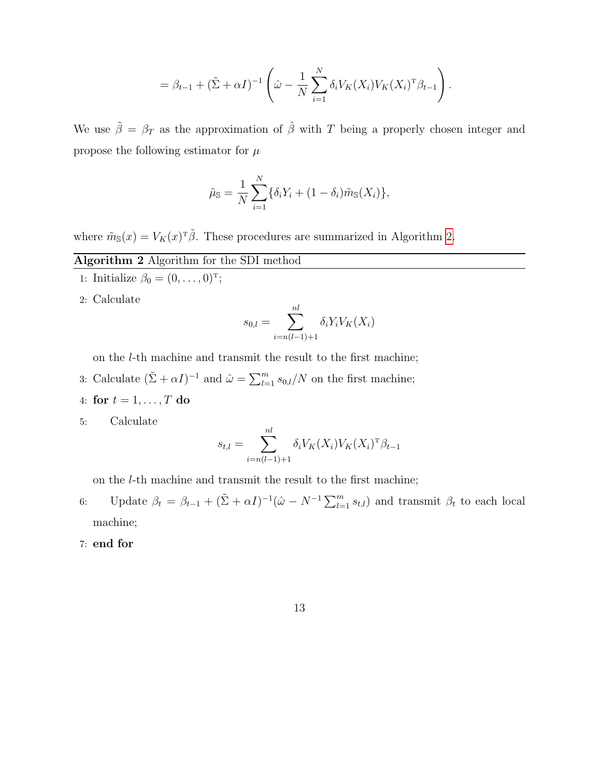$$
= \beta_{t-1} + (\tilde{\Sigma} + \alpha I)^{-1} \left( \hat{\omega} - \frac{1}{N} \sum_{i=1}^N \delta_i V_K(X_i) V_K(X_i)^T \beta_{t-1} \right).
$$

We use  $\tilde{\beta} = \beta_T$  as the approximation of  $\hat{\beta}$  with T being a properly chosen integer and propose the following estimator for  $\mu$ 

$$
\tilde{\mu}_{\mathbb{S}} = \frac{1}{N} \sum_{i=1}^{N} \{ \delta_i Y_i + (1 - \delta_i) \tilde{m}_{\mathbb{S}}(X_i) \},
$$

where  $\tilde{m}_{\mathbb{S}}(x) = V_K(x)^T \tilde{\beta}$ . These procedures are summarized in Algorithm [2.](#page-12-0)

## <span id="page-12-0"></span>Algorithm 2 Algorithm for the SDI method

- 1: Initialize  $\beta_0 = (0, ..., 0)^T;$
- 2: Calculate

$$
s_{0,l} = \sum_{i=n(l-1)+1}^{nl} \delta_i Y_i V_K(X_i)
$$

on the l-th machine and transmit the result to the first machine;

- 3: Calculate  $(\tilde{\Sigma} + \alpha I)^{-1}$  and  $\hat{\omega} = \sum_{l=1}^{m} s_{0,l}/N$  on the first machine;
- 4: for  $t = 1, \ldots, T$  do
- 5: Calculate

$$
s_{t,l} = \sum_{i=n(l-1)+1}^{nl} \delta_i V_K(X_i) V_K(X_i)^{\mathrm{T}} \beta_{t-1}
$$

on the l-th machine and transmit the result to the first machine;

- 6: Update  $\beta_t = \beta_{t-1} + (\tilde{\Sigma} + \alpha I)^{-1} (\hat{\omega} N^{-1} \sum_{l=1}^m s_{t,l})$  and transmit  $\beta_t$  to each local machine;
- 7: end for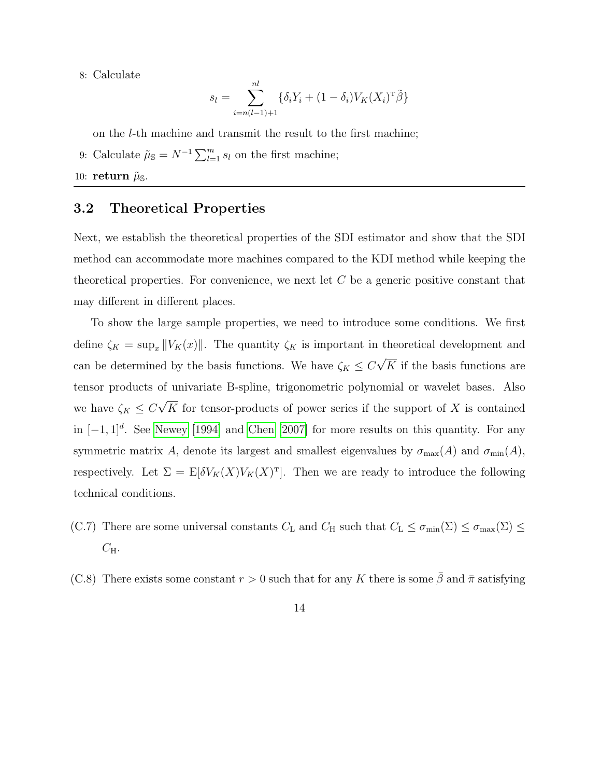8: Calculate

$$
s_l = \sum_{i=n(l-1)+1}^{nl} \{ \delta_i Y_i + (1 - \delta_i) V_K(X_i)^{\mathrm{T}} \tilde{\beta} \}
$$

on the l-th machine and transmit the result to the first machine;

9: Calculate  $\tilde{\mu}_{\mathbb{S}} = N^{-1} \sum_{l=1}^{m} s_l$  on the first machine;

10: return  $\tilde{\mu}_{\mathbb{S}}$ .

### 3.2 Theoretical Properties

Next, we establish the theoretical properties of the SDI estimator and show that the SDI method can accommodate more machines compared to the KDI method while keeping the theoretical properties. For convenience, we next let  $C$  be a generic positive constant that may different in different places.

To show the large sample properties, we need to introduce some conditions. We first define  $\zeta_K = \sup_x ||V_K(x)||$ . The quantity  $\zeta_K$  is important in theoretical development and can be determined by the basis functions. We have  $\zeta_K \leq C$ √  $K$  if the basis functions are tensor products of univariate B-spline, trigonometric polynomial or wavelet bases. Also we have  $\zeta_K \leq C$ √ K for tensor-products of power series if the support of  $X$  is contained in  $[-1, 1]^d$ . See [Newey](#page-42-4) [\[1994\]](#page-42-4) and [Chen](#page-40-4) [\[2007\]](#page-40-4) for more results on this quantity. For any symmetric matrix A, denote its largest and smallest eigenvalues by  $\sigma_{\max}(A)$  and  $\sigma_{\min}(A)$ , respectively. Let  $\Sigma = \mathbb{E}[\delta V_K(X)V_K(X)^T]$ . Then we are ready to introduce the following technical conditions.

- (C.7) There are some universal constants  $C_{\text{L}}$  and  $C_{\text{H}}$  such that  $C_{\text{L}} \leq \sigma_{\min}(\Sigma) \leq \sigma_{\max}(\Sigma) \leq$  $C_{\rm H}$ .
- (C.8) There exists some constant  $r > 0$  such that for any K there is some  $\bar{\beta}$  and  $\bar{\pi}$  satisfying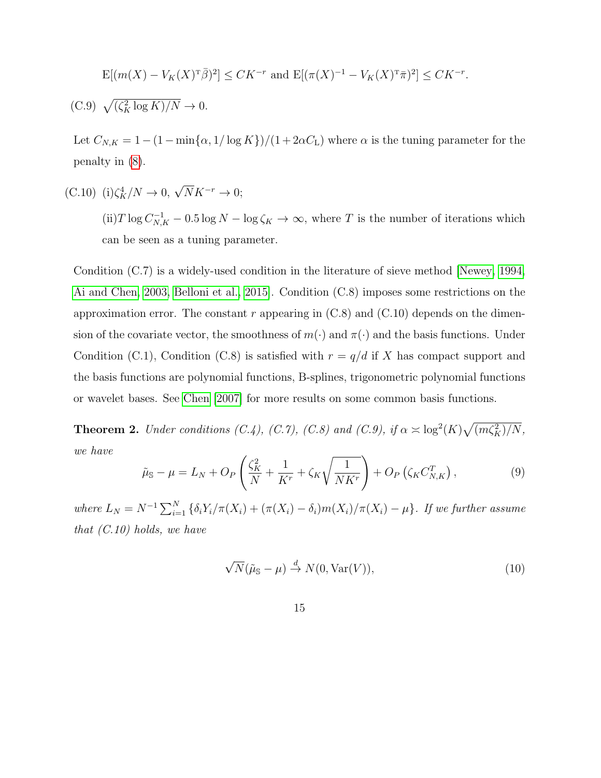$$
\mathbf{E}[(m(X) - V_K(X)^{\mathrm{T}}\bar{\beta})^2] \leq CK^{-r} \text{ and } \mathbf{E}[(\pi(X)^{-1} - V_K(X)^{\mathrm{T}}\bar{\pi})^2] \leq CK^{-r}.
$$

 $(C.9)$   $\sqrt{(\zeta_K^2 \log K)/N} \to 0.$ 

Let  $C_{N,K} = 1 - (1 - \min{\alpha, 1/\log K})/(1 + 2\alpha C_{\text{L}})$  where  $\alpha$  is the tuning parameter for the penalty in [\(8\)](#page-11-0).

(C.10) (i) $\zeta_K^4/N \to 0$ ,  $\sqrt{N}K^{-r} \to 0$ ;

(ii)  $T \log C_{N,K}^{-1} - 0.5 \log N - \log \zeta_K \to \infty$ , where T is the number of iterations which can be seen as a tuning parameter.

Condition (C.7) is a widely-used condition in the literature of sieve method [\[Newey, 1994,](#page-42-4) [Ai and Chen, 2003,](#page-39-1) [Belloni et al., 2015\]](#page-39-2). Condition (C.8) imposes some restrictions on the approximation error. The constant r appearing in  $(C.8)$  and  $(C.10)$  depends on the dimension of the covariate vector, the smoothness of  $m(\cdot)$  and  $\pi(\cdot)$  and the basis functions. Under Condition (C.1), Condition (C.8) is satisfied with  $r = q/d$  if X has compact support and the basis functions are polynomial functions, B-splines, trigonometric polynomial functions or wavelet bases. See [Chen](#page-40-4) [\[2007\]](#page-40-4) for more results on some common basis functions.

**Theorem 2.** Under conditions (C.4), (C.7), (C.8) and (C.9), if  $\alpha \approx \log^2(K)\sqrt{\frac{m\zeta^2}{K}}$ , we have

<span id="page-14-0"></span>
$$
\tilde{\mu}_{\mathbb{S}} - \mu = L_N + O_P\left(\frac{\zeta_K^2}{N} + \frac{1}{K^r} + \zeta_K \sqrt{\frac{1}{NK^r}}\right) + O_P\left(\zeta_K C_{N,K}^T\right),\tag{9}
$$

where  $L_N = N^{-1} \sum_{i=1}^N \{ \delta_i Y_i / \pi(X_i) + (\pi(X_i) - \delta_i) m(X_i) / \pi(X_i) - \mu \}.$  If we further assume that  $(C.10)$  holds, we have

$$
\sqrt{N}(\tilde{\mu}_{\mathbb{S}} - \mu) \stackrel{d}{\to} N(0, \text{Var}(V)),\tag{10}
$$

15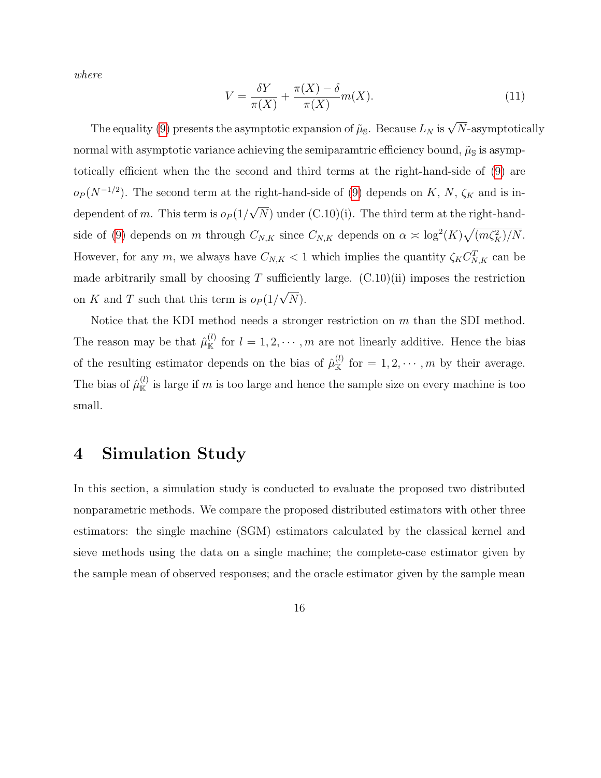where

$$
V = \frac{\delta Y}{\pi(X)} + \frac{\pi(X) - \delta}{\pi(X)} m(X).
$$
\n(11)

The equality [\(9\)](#page-14-0) presents the asymptotic expansion of  $\tilde{\mu}_{\mathbb{S}}$ . Because  $L_N$  is  $\sqrt{N}$ -asymptotically normal with asymptotic variance achieving the semiparamtric efficiency bound,  $\tilde{\mu}_{\rm S}$  is asymptotically efficient when the the second and third terms at the right-hand-side of [\(9\)](#page-14-0) are  $o_P(N^{-1/2})$ . The second term at the right-hand-side of [\(9\)](#page-14-0) depends on K, N,  $\zeta_K$  and is independent of m. This term is  $o_P(1/$ √  $(N)$  under  $(C.10)(i)$ . The third term at the right-hand-side of [\(9\)](#page-14-0) depends on m through  $C_{N,K}$  since  $C_{N,K}$  depends on  $\alpha \asymp \log^2(K)\sqrt{\left(m\zeta_K^2\right)/N}$ . However, for any m, we always have  $C_{N,K} < 1$  which implies the quantity  $\zeta_K C_{N,K}^T$  can be made arbitrarily small by choosing  $T$  sufficiently large.  $(C.10)(ii)$  imposes the restriction on K and T such that this term is  $o_P(1/$ √ N).

Notice that the KDI method needs a stronger restriction on m than the SDI method. The reason may be that  $\hat{\mu}_{\mathbb{K}}^{(l)}$  for  $l=1,2,\cdots,m$  are not linearly additive. Hence the bias of the resulting estimator depends on the bias of  $\hat{\mu}_{\mathbb{K}}^{(l)}$  for  $= 1, 2, \cdots, m$  by their average. The bias of  $\hat{\mu}_{\mathbb{K}}^{(l)}$  is large if m is too large and hence the sample size on every machine is too small.

# <span id="page-15-0"></span>4 Simulation Study

In this section, a simulation study is conducted to evaluate the proposed two distributed nonparametric methods. We compare the proposed distributed estimators with other three estimators: the single machine (SGM) estimators calculated by the classical kernel and sieve methods using the data on a single machine; the complete-case estimator given by the sample mean of observed responses; and the oracle estimator given by the sample mean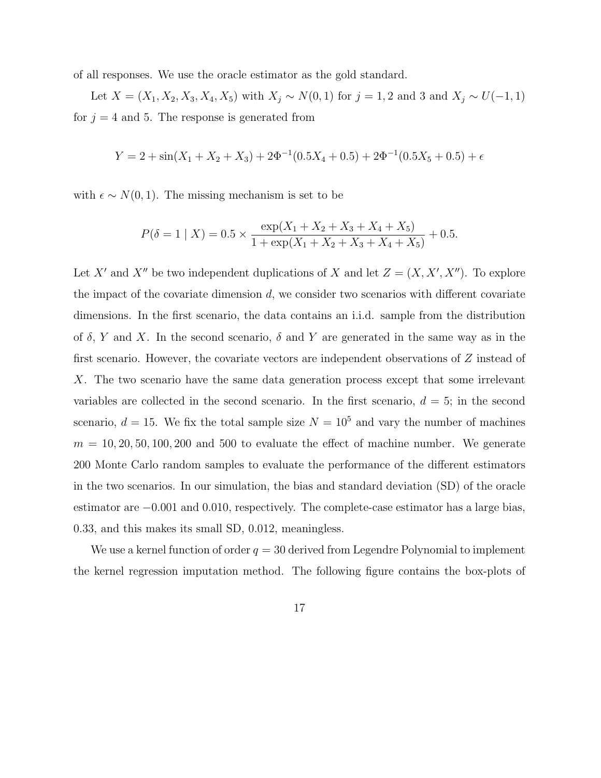of all responses. We use the oracle estimator as the gold standard.

Let  $X = (X_1, X_2, X_3, X_4, X_5)$  with  $X_j \sim N(0, 1)$  for  $j = 1, 2$  and 3 and  $X_j \sim U(-1, 1)$ for  $j = 4$  and 5. The response is generated from

$$
Y = 2 + \sin(X_1 + X_2 + X_3) + 2\Phi^{-1}(0.5X_4 + 0.5) + 2\Phi^{-1}(0.5X_5 + 0.5) + \epsilon
$$

with  $\epsilon \sim N(0, 1)$ . The missing mechanism is set to be

$$
P(\delta = 1 | X) = 0.5 \times \frac{\exp(X_1 + X_2 + X_3 + X_4 + X_5)}{1 + \exp(X_1 + X_2 + X_3 + X_4 + X_5)} + 0.5.
$$

Let X' and X'' be two independent duplications of X and let  $Z = (X, X', X'')$ . To explore the impact of the covariate dimension  $d$ , we consider two scenarios with different covariate dimensions. In the first scenario, the data contains an i.i.d. sample from the distribution of  $\delta$ , Y and X. In the second scenario,  $\delta$  and Y are generated in the same way as in the first scenario. However, the covariate vectors are independent observations of Z instead of X. The two scenario have the same data generation process except that some irrelevant variables are collected in the second scenario. In the first scenario,  $d = 5$ ; in the second scenario,  $d = 15$ . We fix the total sample size  $N = 10^5$  and vary the number of machines  $m = 10, 20, 50, 100, 200$  and 500 to evaluate the effect of machine number. We generate 200 Monte Carlo random samples to evaluate the performance of the different estimators in the two scenarios. In our simulation, the bias and standard deviation (SD) of the oracle estimator are −0.001 and 0.010, respectively. The complete-case estimator has a large bias, 0.33, and this makes its small SD, 0.012, meaningless.

We use a kernel function of order  $q = 30$  derived from Legendre Polynomial to implement the kernel regression imputation method. The following figure contains the box-plots of

$$
17\,
$$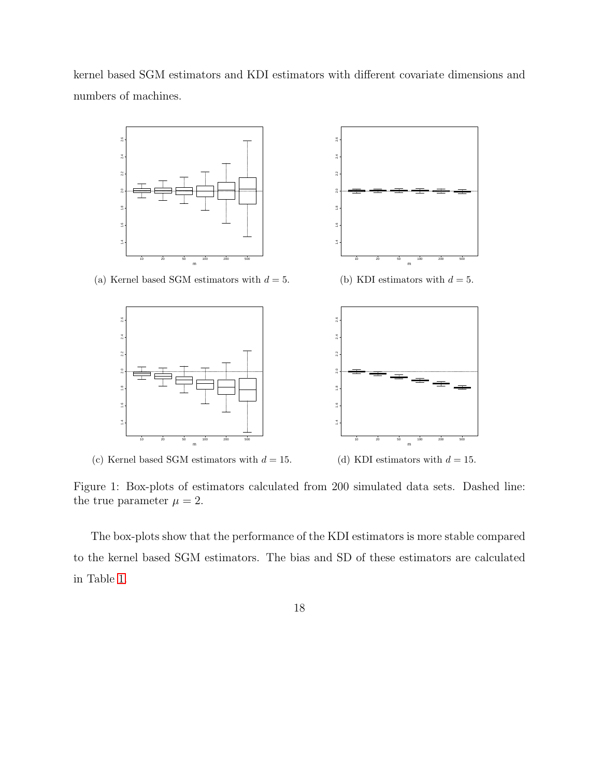kernel based SGM estimators and KDI estimators with different covariate dimensions and numbers of machines.



(a) Kernel based SGM estimators with  $d = 5$ .



(c) Kernel based SGM estimators with  $d = 15$ .



(b) KDI estimators with  $d = 5$ .



(d) KDI estimators with  $d = 15$ .

Figure 1: Box-plots of estimators calculated from 200 simulated data sets. Dashed line: the true parameter  $\mu = 2$ .

The box-plots show that the performance of the KDI estimators is more stable compared to the kernel based SGM estimators. The bias and SD of these estimators are calculated in Table [1.](#page-18-0)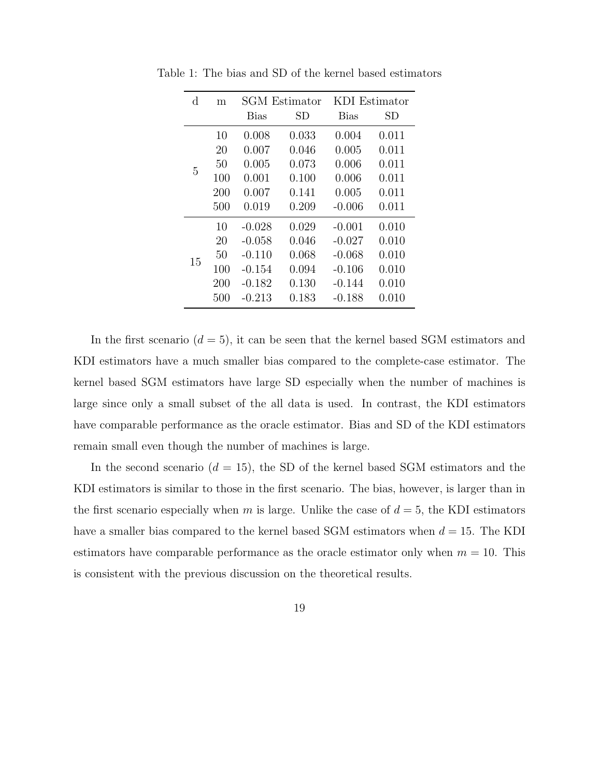| d  | m   | <b>SGM</b> Estimator |       | KDI Estimator |       |
|----|-----|----------------------|-------|---------------|-------|
|    |     | <b>Bias</b>          | SD    | <b>Bias</b>   | SD    |
|    | 10  | 0.008                | 0.033 | 0.004         | 0.011 |
| 5  | 20  | 0.007                | 0.046 | 0.005         | 0.011 |
|    | 50  | 0.005                | 0.073 | 0.006         | 0.011 |
|    | 100 | 0.001                | 0.100 | 0.006         | 0.011 |
|    | 200 | 0.007                | 0.141 | 0.005         | 0.011 |
|    | 500 | 0.019                | 0.209 | $-0.006$      | 0.011 |
| 15 | 10  | $-0.028$             | 0.029 | $-0.001$      | 0.010 |
|    | 20  | $-0.058$             | 0.046 | $-0.027$      | 0.010 |
|    | 50  | $-0.110$             | 0.068 | $-0.068$      | 0.010 |
|    | 100 | -0.154               | 0.094 | $-0.106$      | 0.010 |
|    | 200 | $-0.182$             | 0.130 | $-0.144$      | 0.010 |
|    | 500 | $-0.213$             | 0.183 | $-0.188$      | 0.010 |

<span id="page-18-0"></span>Table 1: The bias and SD of the kernel based estimators

In the first scenario  $(d = 5)$ , it can be seen that the kernel based SGM estimators and KDI estimators have a much smaller bias compared to the complete-case estimator. The kernel based SGM estimators have large SD especially when the number of machines is large since only a small subset of the all data is used. In contrast, the KDI estimators have comparable performance as the oracle estimator. Bias and SD of the KDI estimators remain small even though the number of machines is large.

In the second scenario  $(d = 15)$ , the SD of the kernel based SGM estimators and the KDI estimators is similar to those in the first scenario. The bias, however, is larger than in the first scenario especially when m is large. Unlike the case of  $d = 5$ , the KDI estimators have a smaller bias compared to the kernel based SGM estimators when  $d = 15$ . The KDI estimators have comparable performance as the oracle estimator only when  $m = 10$ . This is consistent with the previous discussion on the theoretical results.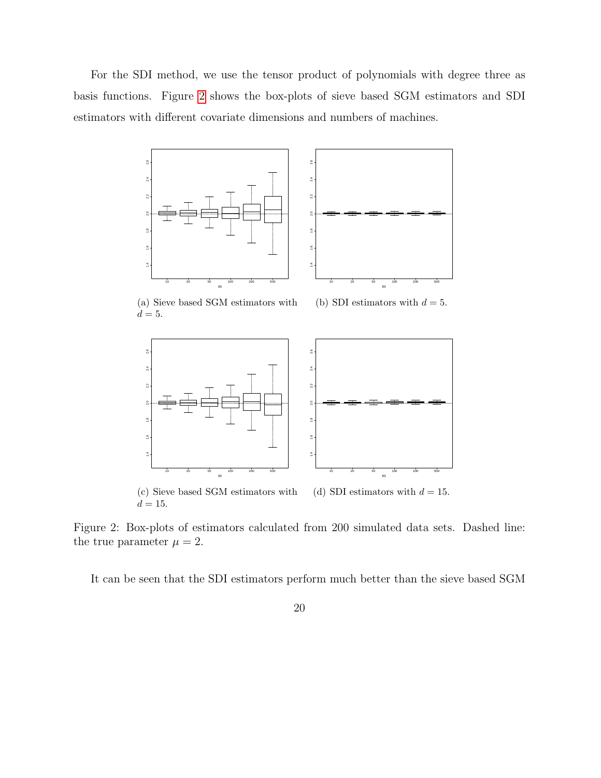For the SDI method, we use the tensor product of polynomials with degree three as basis functions. Figure [2](#page-19-0) shows the box-plots of sieve based SGM estimators and SDI estimators with different covariate dimensions and numbers of machines.

<span id="page-19-0"></span>

Figure 2: Box-plots of estimators calculated from 200 simulated data sets. Dashed line: the true parameter  $\mu = 2$ .

It can be seen that the SDI estimators perform much better than the sieve based SGM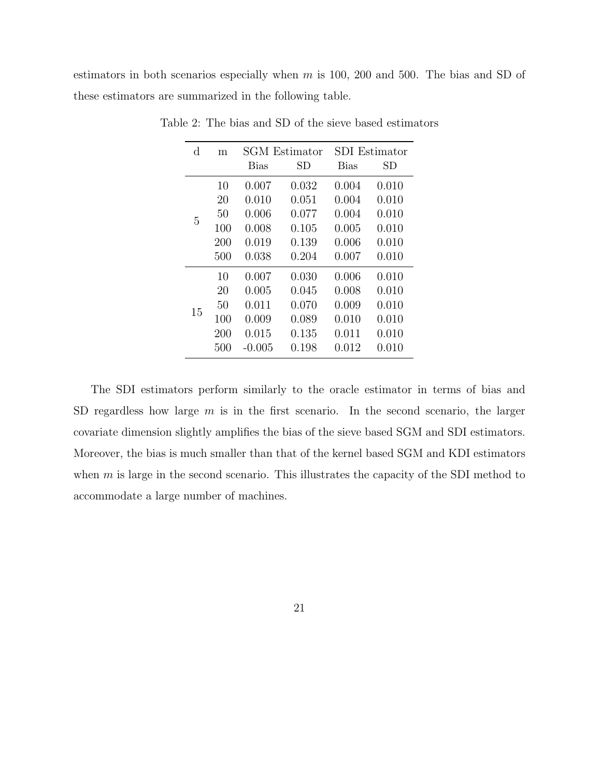estimators in both scenarios especially when  $m$  is 100, 200 and 500. The bias and SD of these estimators are summarized in the following table.

| $_{\rm d}$ | m   | <b>SGM</b> Estimator |       | <b>SDI</b> Estimator |       |
|------------|-----|----------------------|-------|----------------------|-------|
|            |     | <b>Bias</b>          | SD    | <b>Bias</b>          | SD    |
|            | 10  | 0.007                | 0.032 | 0.004                | 0.010 |
| 5          | 20  | 0.010                | 0.051 | 0.004                | 0.010 |
|            | 50  | 0.006                | 0.077 | 0.004                | 0.010 |
|            | 100 | 0.008                | 0.105 | 0.005                | 0.010 |
|            | 200 | 0.019                | 0.139 | 0.006                | 0.010 |
|            | 500 | 0.038                | 0.204 | 0.007                | 0.010 |
| 15         | 10  | 0.007                | 0.030 | 0.006                | 0.010 |
|            | 20  | 0.005                | 0.045 | 0.008                | 0.010 |
|            | 50  | 0.011                | 0.070 | 0.009                | 0.010 |
|            | 100 | 0.009                | 0.089 | 0.010                | 0.010 |
|            | 200 | 0.015                | 0.135 | 0.011                | 0.010 |
|            | 500 | $-0.005$             | 0.198 | 0.012                | 0.010 |

Table 2: The bias and SD of the sieve based estimators

The SDI estimators perform similarly to the oracle estimator in terms of bias and SD regardless how large  $m$  is in the first scenario. In the second scenario, the larger covariate dimension slightly amplifies the bias of the sieve based SGM and SDI estimators. Moreover, the bias is much smaller than that of the kernel based SGM and KDI estimators when  $m$  is large in the second scenario. This illustrates the capacity of the SDI method to accommodate a large number of machines.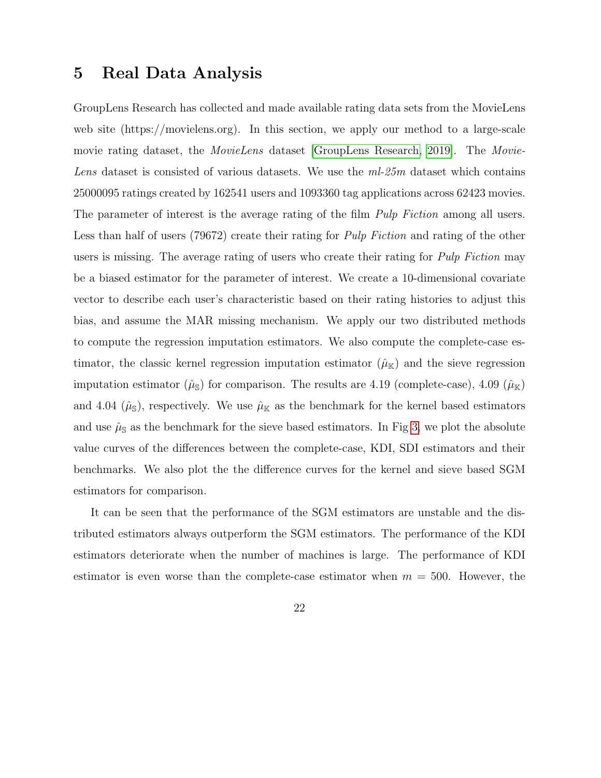## 5 Real Data Analysis

GroupLens Research has collected and made available rating data sets from the MovieLens web site (https://movielens.org). In this section, we apply our method to a large-scale movie rating dataset, the *MovieLens* dataset [\[GroupLens Research, 2019\]](#page-40-7). The *Movie-*Lens dataset is consisted of various datasets. We use the  $ml-25m$  dataset which contains 25000095 ratings created by 162541 users and 1093360 tag applications across 62423 movies. The parameter of interest is the average rating of the film *Pulp Fiction* among all users. Less than half of users (79672) create their rating for Pulp Fiction and rating of the other users is missing. The average rating of users who create their rating for *Pulp Fiction* may be a biased estimator for the parameter of interest. We create a 10-dimensional covariate vector to describe each user's characteristic based on their rating histories to adjust this bias, and assume the MAR missing mechanism. We apply our two distributed methods to compute the regression imputation estimators. We also compute the complete-case estimator, the classic kernel regression imputation estimator  $(\hat{\mu}_{\mathbb{K}})$  and the sieve regression imputation estimator  $(\hat{\mu}_{\mathbb{S}})$  for comparison. The results are 4.19 (complete-case), 4.09  $(\hat{\mu}_{\mathbb{K}})$ and 4.04 ( $\hat{\mu}_{\rm S}$ ), respectively. We use  $\hat{\mu}_{\rm K}$  as the benchmark for the kernel based estimators and use  $\hat{\mu}_{\mathbb{S}}$  as the benchmark for the sieve based estimators. In Fig [3,](#page-22-0) we plot the absolute value curves of the differences between the complete-case, KDI, SDI estimators and their benchmarks. We also plot the the difference curves for the kernel and sieve based SGM estimators for comparison.

It can be seen that the performance of the SGM estimators are unstable and the distributed estimators always outperform the SGM estimators. The performance of the KDI estimators deteriorate when the number of machines is large. The performance of KDI estimator is even worse than the complete-case estimator when  $m = 500$ . However, the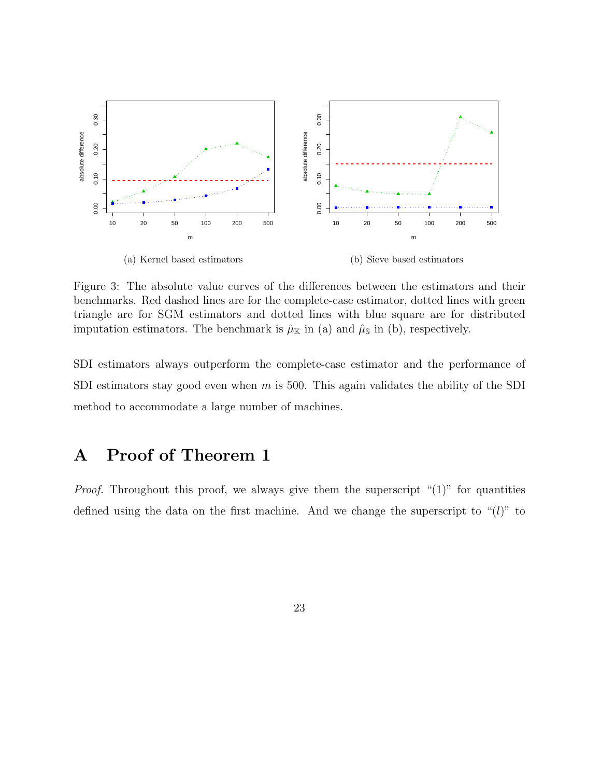<span id="page-22-0"></span>

Figure 3: The absolute value curves of the differences between the estimators and their benchmarks. Red dashed lines are for the complete-case estimator, dotted lines with green triangle are for SGM estimators and dotted lines with blue square are for distributed imputation estimators. The benchmark is  $\hat{\mu}_{\mathbb{K}}$  in (a) and  $\hat{\mu}_{\mathbb{S}}$  in (b), respectively.

SDI estimators always outperform the complete-case estimator and the performance of SDI estimators stay good even when  $m$  is 500. This again validates the ability of the SDI method to accommodate a large number of machines.

# A Proof of Theorem 1

*Proof.* Throughout this proof, we always give them the superscript " $(1)$ " for quantities defined using the data on the first machine. And we change the superscript to " $(l)$ " to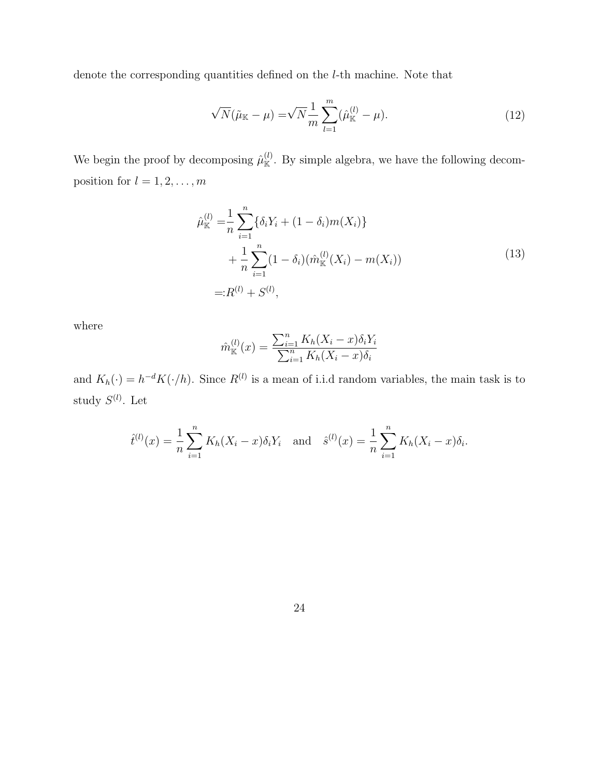denote the corresponding quantities defined on the l-th machine. Note that

$$
\sqrt{N}(\tilde{\mu}_{\mathbb{K}} - \mu) = \sqrt{N} \frac{1}{m} \sum_{l=1}^{m} (\hat{\mu}_{\mathbb{K}}^{(l)} - \mu).
$$
 (12)

We begin the proof by decomposing  $\hat{\mu}_{\mathbb{K}}^{(l)}$ . By simple algebra, we have the following decomposition for  $l = 1, 2, \ldots, m$ 

$$
\hat{\mu}_{\mathbb{K}}^{(l)} = \frac{1}{n} \sum_{i=1}^{n} \{ \delta_i Y_i + (1 - \delta_i) m(X_i) \} \n+ \frac{1}{n} \sum_{i=1}^{n} (1 - \delta_i) (\hat{m}_{\mathbb{K}}^{(l)}(X_i) - m(X_i)) \n= :R^{(l)} + S^{(l)},
$$
\n(13)

<span id="page-23-0"></span>where

$$
\hat{m}_{\mathbb{K}}^{(l)}(x) = \frac{\sum_{i=1}^{n} K_h (X_i - x) \delta_i Y_i}{\sum_{i=1}^{n} K_h (X_i - x) \delta_i}
$$

and  $K_h(\cdot) = h^{-d} K(\cdot/h)$ . Since  $R^{(l)}$  is a mean of i.i.d random variables, the main task is to study  $S^{(l)}$ . Let

$$
\hat{t}^{(l)}(x) = \frac{1}{n} \sum_{i=1}^{n} K_h(X_i - x) \delta_i Y_i
$$
 and  $\hat{s}^{(l)}(x) = \frac{1}{n} \sum_{i=1}^{n} K_h(X_i - x) \delta_i$ .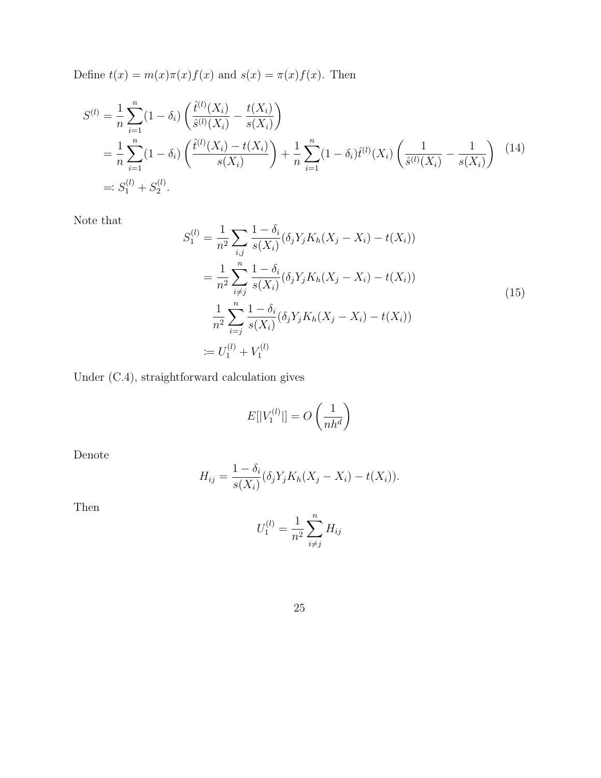Define  $t(x) = m(x)\pi(x)f(x)$  and  $s(x) = \pi(x)f(x)$ . Then

<span id="page-24-1"></span>
$$
S^{(l)} = \frac{1}{n} \sum_{i=1}^{n} (1 - \delta_i) \left( \frac{\hat{t}^{(l)}(X_i)}{\hat{s}^{(l)}(X_i)} - \frac{t(X_i)}{s(X_i)} \right)
$$
  
= 
$$
\frac{1}{n} \sum_{i=1}^{n} (1 - \delta_i) \left( \frac{\hat{t}^{(l)}(X_i) - t(X_i)}{s(X_i)} \right) + \frac{1}{n} \sum_{i=1}^{n} (1 - \delta_i) \hat{t}^{(l)}(X_i) \left( \frac{1}{\hat{s}^{(l)}(X_i)} - \frac{1}{s(X_i)} \right)
$$
(14)  
=: 
$$
S_1^{(l)} + S_2^{(l)}.
$$

Note that

<span id="page-24-0"></span>
$$
S_1^{(l)} = \frac{1}{n^2} \sum_{i,j} \frac{1 - \delta_i}{s(X_i)} (\delta_j Y_j K_h (X_j - X_i) - t(X_i))
$$
  
\n
$$
= \frac{1}{n^2} \sum_{i \neq j} \frac{1 - \delta_i}{s(X_i)} (\delta_j Y_j K_h (X_j - X_i) - t(X_i))
$$
  
\n
$$
\frac{1}{n^2} \sum_{i=j}^n \frac{1 - \delta_i}{s(X_i)} (\delta_j Y_j K_h (X_j - X_i) - t(X_i))
$$
  
\n
$$
= U_1^{(l)} + V_1^{(l)}
$$
 (15)

Under (C.4), straightforward calculation gives

$$
E[|V_1^{(l)}|] = O\left(\frac{1}{nh^d}\right)
$$

Denote

$$
H_{ij} = \frac{1 - \delta_i}{s(X_i)} (\delta_j Y_j K_h (X_j - X_i) - t(X_i)).
$$

Then

$$
U_1^{(l)} = \frac{1}{n^2} \sum_{i \neq j}^{n} H_{ij}
$$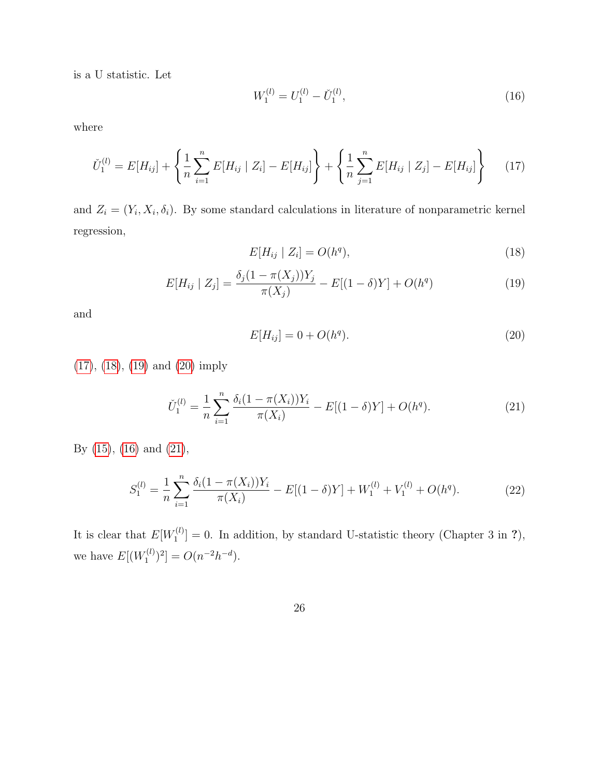is a U statistic. Let

<span id="page-25-4"></span>
$$
W_1^{(l)} = U_1^{(l)} - \check{U}_1^{(l)},\tag{16}
$$

where

<span id="page-25-0"></span>
$$
\check{U}_1^{(l)} = E[H_{ij}] + \left\{ \frac{1}{n} \sum_{i=1}^n E[H_{ij} \mid Z_i] - E[H_{ij}] \right\} + \left\{ \frac{1}{n} \sum_{j=1}^n E[H_{ij} \mid Z_j] - E[H_{ij}] \right\} \tag{17}
$$

and  $Z_i = (Y_i, X_i, \delta_i)$ . By some standard calculations in literature of nonparametric kernel regression,

<span id="page-25-1"></span>
$$
E[H_{ij} | Z_i] = O(h^q), \tag{18}
$$

<span id="page-25-2"></span>
$$
E[H_{ij} | Z_j] = \frac{\delta_j (1 - \pi(X_j)) Y_j}{\pi(X_j)} - E[(1 - \delta)Y] + O(h^q)
$$
\n(19)

and

<span id="page-25-3"></span>
$$
E[H_{ij}] = 0 + O(h^q). \tag{20}
$$

[\(17\)](#page-25-0), [\(18\)](#page-25-1), [\(19\)](#page-25-2) and [\(20\)](#page-25-3) imply

<span id="page-25-5"></span>
$$
\check{U}_1^{(l)} = \frac{1}{n} \sum_{i=1}^n \frac{\delta_i (1 - \pi(X_i)) Y_i}{\pi(X_i)} - E[(1 - \delta)Y] + O(h^q). \tag{21}
$$

By [\(15\)](#page-24-0), [\(16\)](#page-25-4) and [\(21\)](#page-25-5),

<span id="page-25-6"></span>
$$
S_1^{(l)} = \frac{1}{n} \sum_{i=1}^n \frac{\delta_i (1 - \pi(X_i)) Y_i}{\pi(X_i)} - E[(1 - \delta)Y] + W_1^{(l)} + V_1^{(l)} + O(h^q).
$$
 (22)

It is clear that  $E[W_1^{(l)}]$  $\mathcal{I}_{1}^{(l)}$  = 0. In addition, by standard U-statistic theory (Chapter 3 in ?), we have  $E[(W_1^{(l)})]$  $C_1^{(l)}$  $)^2$ ] =  $O(n^{-2}h^{-d})$ .

26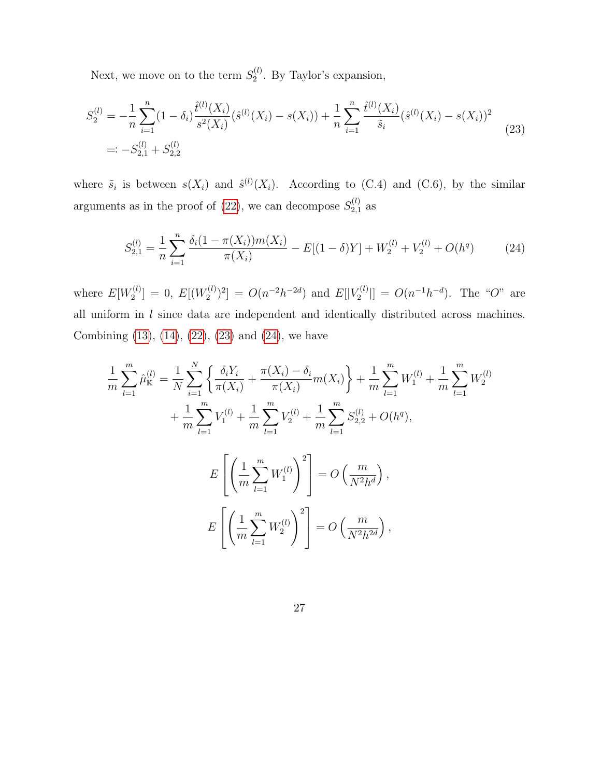Next, we move on to the term  $S_2^{(l)}$  $2^{(l)}$ . By Taylor's expansion,

<span id="page-26-0"></span>
$$
S_2^{(l)} = -\frac{1}{n} \sum_{i=1}^n (1 - \delta_i) \frac{\hat{t}^{(l)}(X_i)}{s^2(X_i)} (\hat{s}^{(l)}(X_i) - s(X_i)) + \frac{1}{n} \sum_{i=1}^n \frac{\hat{t}^{(l)}(X_i)}{\tilde{s}_i} (\hat{s}^{(l)}(X_i) - s(X_i))^2
$$
  
=: 
$$
-S_{2,1}^{(l)} + S_{2,2}^{(l)}
$$
 (23)

where  $\tilde{s}_i$  is between  $s(X_i)$  and  $\hat{s}^{(l)}(X_i)$ . According to (C.4) and (C.6), by the similar arguments as in the proof of [\(22\)](#page-25-6), we can decompose  $S_{2,1}^{(l)}$  $_{2,1}^{(t)}$  as

<span id="page-26-1"></span>
$$
S_{2,1}^{(l)} = \frac{1}{n} \sum_{i=1}^{n} \frac{\delta_i (1 - \pi(X_i)) m(X_i)}{\pi(X_i)} - E[(1 - \delta)Y] + W_2^{(l)} + V_2^{(l)} + O(h^q)
$$
(24)

where  $E[W_2^{(l)}]$  $\mathbb{E}^{(l)}_2] \, = \, 0, \,\, E[(W^{(l)}_2$  $\mathcal{L}^{(l)}_{2}$ <sup>2</sup> $] = O(n^{-2}h^{-2d})$  and  $E[|V_2^{(l)}|]$  $\mathcal{L}^{(l)}_2$  =  $O(n^{-1}h^{-d})$ . The "O" are all uniform in  $l$  since data are independent and identically distributed across machines. Combining [\(13\)](#page-23-0), [\(14\)](#page-24-1), [\(22\)](#page-25-6), [\(23\)](#page-26-0) and [\(24\)](#page-26-1), we have

$$
\frac{1}{m} \sum_{l=1}^{m} \hat{\mu}_{\mathbb{K}}^{(l)} = \frac{1}{N} \sum_{i=1}^{N} \left\{ \frac{\delta_i Y_i}{\pi(X_i)} + \frac{\pi(X_i) - \delta_i}{\pi(X_i)} m(X_i) \right\} + \frac{1}{m} \sum_{l=1}^{m} W_1^{(l)} + \frac{1}{m} \sum_{l=1}^{m} V_2^{(l)} + \frac{1}{m} \sum_{l=1}^{m} S_{2,2}^{(l)} + O(h^q),
$$
\n
$$
E\left[ \left( \frac{1}{m} \sum_{l=1}^{m} W_1^{(l)} \right)^2 \right] = O\left( \frac{m}{N^2 h^d} \right),
$$
\n
$$
E\left[ \left( \frac{1}{m} \sum_{l=1}^{m} W_2^{(l)} \right)^2 \right] = O\left( \frac{m}{N^2 h^d} \right),
$$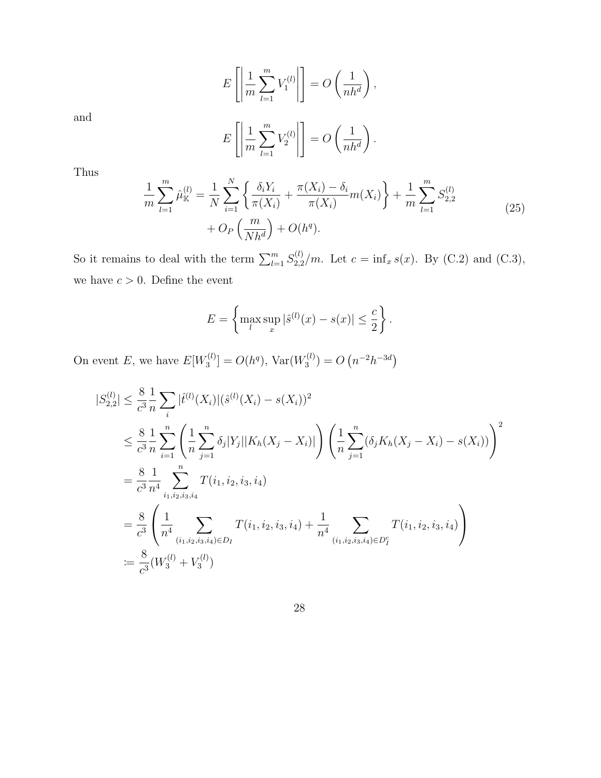$$
E\left[\left|\frac{1}{m}\sum_{l=1}^{m}V_1^{(l)}\right|\right] = O\left(\frac{1}{nh^d}\right),\,
$$

and

$$
E\left[\left|\frac{1}{m}\sum_{l=1}^{m}V_2^{(l)}\right|\right] = O\left(\frac{1}{nh^d}\right).
$$

Thus

<span id="page-27-0"></span>
$$
\frac{1}{m} \sum_{l=1}^{m} \hat{\mu}_{\mathbb{K}}^{(l)} = \frac{1}{N} \sum_{i=1}^{N} \left\{ \frac{\delta_i Y_i}{\pi(X_i)} + \frac{\pi(X_i) - \delta_i}{\pi(X_i)} m(X_i) \right\} + \frac{1}{m} \sum_{l=1}^{m} S_{2,2}^{(l)} + O_P\left(\frac{m}{Nh^d}\right) + O(h^q).
$$
\n(25)

So it remains to deal with the term  $\sum_{l=1}^{m} S_{2,2}^{(l)}$  $_{2,2}^{(t)}/m$ . Let  $c = \inf_{x} s(x)$ . By (C.2) and (C.3), we have  $c > 0$ . Define the event

$$
E = \left\{ \max_{l} \sup_{x} |\hat{s}^{(l)}(x) - s(x)| \leq \frac{c}{2} \right\}.
$$

On event E, we have  $E[W_3^{(l)}]$  $[O_3^{(l)}] = O(h^q)$ , Var $(W_3^{(l)})$  $S_3^{(l)}$ ) =  $O(n^{-2}h^{-3d})$ 

$$
|S_{2,2}^{(l)}| \leq \frac{8}{c^3} \frac{1}{n} \sum_{i} |\hat{t}^{(l)}(X_i)| (\hat{s}^{(l)}(X_i) - s(X_i))^2
$$
  
\n
$$
\leq \frac{8}{c^3} \frac{1}{n} \sum_{i=1}^n \left( \frac{1}{n} \sum_{j=1}^n \delta_j |Y_j| |K_h(X_j - X_i)| \right) \left( \frac{1}{n} \sum_{j=1}^n (\delta_j K_h(X_j - X_i) - s(X_i)) \right)^2
$$
  
\n
$$
= \frac{8}{c^3} \frac{1}{n^4} \sum_{i_1, i_2, i_3, i_4}^n T(i_1, i_2, i_3, i_4)
$$
  
\n
$$
= \frac{8}{c^3} \left( \frac{1}{n^4} \sum_{(i_1, i_2, i_3, i_4) \in D_I} T(i_1, i_2, i_3, i_4) + \frac{1}{n^4} \sum_{(i_1, i_2, i_3, i_4) \in D_I^c} T(i_1, i_2, i_3, i_4) \right)
$$
  
\n
$$
:= \frac{8}{c^3} \left( W_3^{(l)} + V_3^{(l)} \right)
$$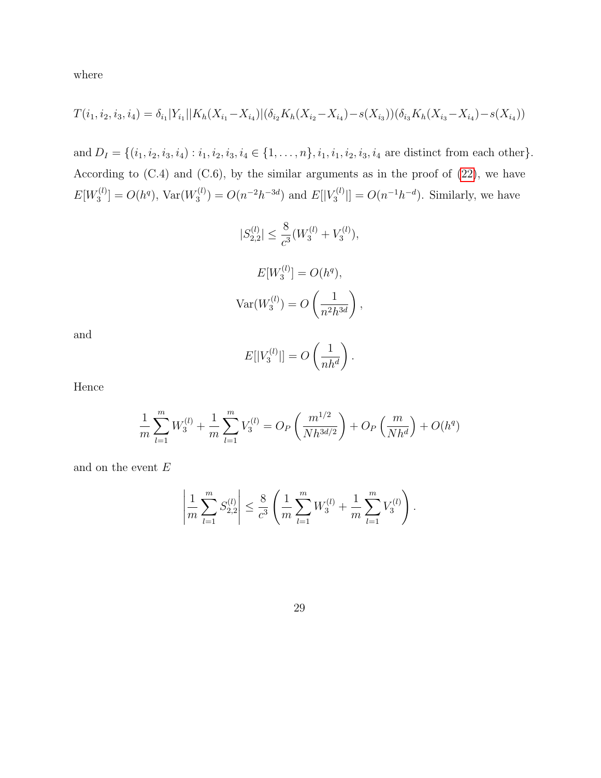where

$$
T(i_1, i_2, i_3, i_4) = \delta_{i_1}|Y_{i_1}||K_h(X_{i_1} - X_{i_4})|(\delta_{i_2}K_h(X_{i_2} - X_{i_4}) - s(X_{i_3}))(\delta_{i_3}K_h(X_{i_3} - X_{i_4}) - s(X_{i_4}))
$$

and  $D_I = \{(i_1, i_2, i_3, i_4) : i_1, i_2, i_3, i_4 \in \{1, \ldots, n\}, i_1, i_1, i_2, i_3, i_4 \text{ are distinct from each other}\}.$ According to (C.4) and (C.6), by the similar arguments as in the proof of [\(22\)](#page-25-6), we have  $E[W^{(l)}_3]$  $C^{(l)}_3] = O(h^q)$ , Var $(W_3^{(l)})$  $S_3^{(l)}$ ) =  $O(n^{-2}h^{-3d})$  and  $E[|V_3^{(l)}]$  $\mathcal{O}(n^{-1}h^{-d})$ . Similarly, we have

$$
|S_{2,2}^{(l)}| \le \frac{8}{c^3} (W_3^{(l)} + V_3^{(l)}),
$$
  

$$
E[W_3^{(l)}] = O(h^q),
$$
  

$$
Var(W_3^{(l)}) = O\left(\frac{1}{n^2 h^{3d}}\right),
$$

and

$$
E[|V_3^{(l)}|] = O\left(\frac{1}{nh^d}\right).
$$

Hence

$$
\frac{1}{m} \sum_{l=1}^{m} W_3^{(l)} + \frac{1}{m} \sum_{l=1}^{m} V_3^{(l)} = O_P\left(\frac{m^{1/2}}{Nh^{3d/2}}\right) + O_P\left(\frac{m}{Nh^d}\right) + O(h^q)
$$

and on the event  $E$ 

$$
\left|\frac{1}{m}\sum_{l=1}^m S_{2,2}^{(l)}\right| \leq \frac{8}{c^3} \left(\frac{1}{m}\sum_{l=1}^m W_3^{(l)} + \frac{1}{m}\sum_{l=1}^m V_3^{(l)}\right).
$$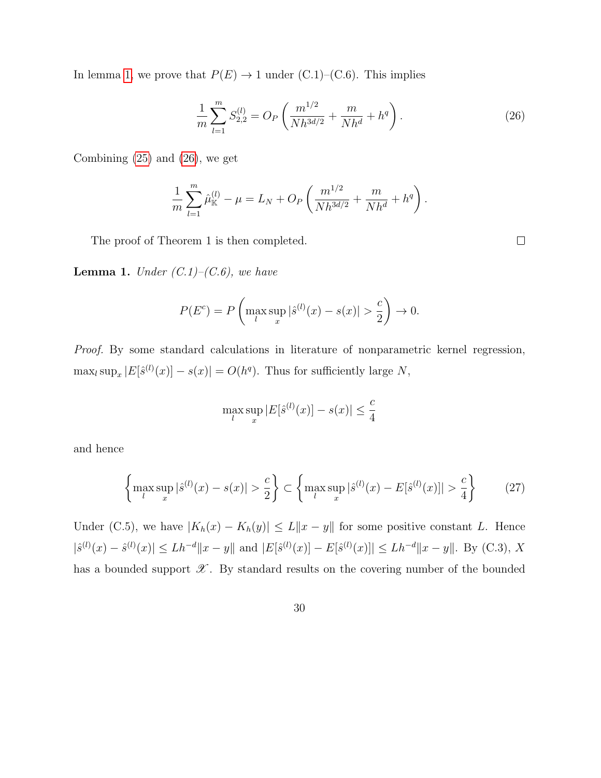In lemma [1,](#page-29-0) we prove that  $P(E) \rightarrow 1$  under (C.1)–(C.6). This implies

<span id="page-29-1"></span>
$$
\frac{1}{m}\sum_{l=1}^{m} S_{2,2}^{(l)} = O_P\left(\frac{m^{1/2}}{Nh^{3d/2}} + \frac{m}{Nh^d} + h^q\right).
$$
\n(26)

 $\Box$ 

Combining [\(25\)](#page-27-0) and [\(26\)](#page-29-1), we get

$$
\frac{1}{m} \sum_{l=1}^{m} \hat{\mu}_{\mathbb{K}}^{(l)} - \mu = L_N + O_P\left(\frac{m^{1/2}}{Nh^{3d/2}} + \frac{m}{Nh^d} + h^q\right).
$$

The proof of Theorem 1 is then completed.

<span id="page-29-0"></span>**Lemma 1.** Under  $(C.1)$ – $(C.6)$ , we have

$$
P(E^{c}) = P\left(\max_{l} \sup_{x} |\hat{s}^{(l)}(x) - s(x)| > \frac{c}{2}\right) \to 0.
$$

Proof. By some standard calculations in literature of nonparametric kernel regression,  $\max_l \sup_x |E[\hat{s}^{(l)}(x)] - s(x)| = O(h^q)$ . Thus for sufficiently large N,

$$
\max_{l} \sup_{x} |E[\hat{s}^{(l)}(x)] - s(x)| \le \frac{c}{4}
$$

and hence

<span id="page-29-2"></span>
$$
\left\{\max_{l} \sup_{x} |\hat{s}^{(l)}(x) - s(x)| > \frac{c}{2}\right\} \subset \left\{\max_{l} \sup_{x} |\hat{s}^{(l)}(x) - E[\hat{s}^{(l)}(x)]| > \frac{c}{4}\right\} \tag{27}
$$

Under (C.5), we have  $|K_h(x) - K_h(y)| \le L||x - y||$  for some positive constant L. Hence  $|\hat{s}^{(l)}(x) - \hat{s}^{(l)}(x)| \le L h^{-d} \|x - y\|$  and  $|E[\hat{s}^{(l)}(x)] - E[\hat{s}^{(l)}(x)]| \le L h^{-d} \|x - y\|$ . By (C.3), X has a bounded support  $\mathscr X$ . By standard results on the covering number of the bounded

30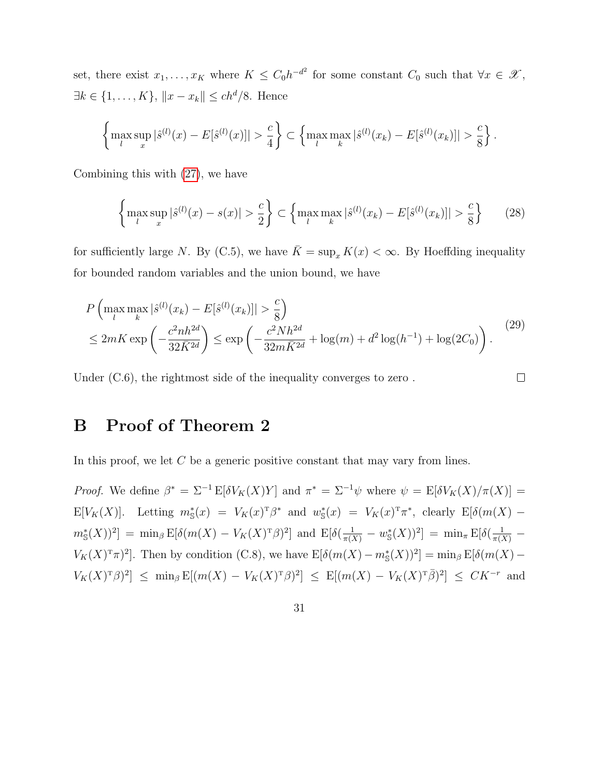set, there exist  $x_1, \ldots, x_K$  where  $K \leq C_0 h^{-d^2}$  for some constant  $C_0$  such that  $\forall x \in \mathscr{X}$ ,  $\exists k \in \{1, ..., K\}, \|x - x_k\| \le ch^d/8.$  Hence

$$
\left\{\max_{l} \sup_{x} |\hat{s}^{(l)}(x) - E[\hat{s}^{(l)}(x)]| > \frac{c}{4}\right\} \subset \left\{\max_{l} \max_{k} |\hat{s}^{(l)}(x_k) - E[\hat{s}^{(l)}(x_k)]| > \frac{c}{8}\right\}.
$$

Combining this with [\(27\)](#page-29-2), we have

$$
\left\{\max_{l} \sup_{x} |\hat{s}^{(l)}(x) - s(x)| > \frac{c}{2}\right\} \subset \left\{\max_{l} \max_{k} |\hat{s}^{(l)}(x_k) - E[\hat{s}^{(l)}(x_k)]| > \frac{c}{8}\right\} \tag{28}
$$

for sufficiently large N. By (C.5), we have  $\overline{K} = \sup_x K(x) < \infty$ . By Hoeffding inequality for bounded random variables and the union bound, we have

$$
P\left(\max_{l} \max_{k} |\hat{s}^{(l)}(x_k) - E[\hat{s}^{(l)}(x_k)]| > \frac{c}{8}\right)
$$
  
\n
$$
\leq 2mK \exp\left(-\frac{c^2nh^{2d}}{32\bar{K}^{2d}}\right) \leq \exp\left(-\frac{c^2Nh^{2d}}{32m\bar{K}^{2d}} + \log(m) + d^2\log(h^{-1}) + \log(2C_0)\right).
$$
\n(29)

Under  $(C.6)$ , the rightmost side of the inequality converges to zero.

 $\Box$ 

# B Proof of Theorem 2

In this proof, we let C be a generic positive constant that may vary from lines.

*Proof.* We define  $\beta^* = \Sigma^{-1} E[\delta V_K(X)Y]$  and  $\pi^* = \Sigma^{-1}\psi$  where  $\psi = E[\delta V_K(X)/\pi(X)] =$ E[ $V_K(X)$ ]. Letting  $m^*_{\mathcal{S}}(x) = V_K(x)^{\mathsf{T}} \beta^*$  and  $w^*_{\mathcal{S}}(x) = V_K(x)^{\mathsf{T}} \pi^*$ , clearly E[ $\delta(m(X)$  $m_{\mathbb{S}}^{*}(X)$ )<sup>2</sup>] = min<sub>β</sub> E[δ(m(X) – V<sub>K</sub>(X)<sup>T</sup>β)<sup>2</sup>] and E[δ( $\frac{1}{\pi(X)}$  – w<sub>S</sub><sup>\*</sup>(X))<sup>2</sup>] = min<sub>π</sub> E[δ( $\frac{1}{\pi(X)}$  –  $V_K(X)^{\mathrm{t}} \pi$ <sup>2</sup>. Then by condition (C.8), we have  $\mathbb{E}[\delta(m(X) - m_{\mathrm{S}}^*(X))^2] = \min_{\beta} \mathbb{E}[\delta(m(X) V_K(X)^{\mathrm{T}}\beta)^2$   $\leq$  min<sub>β</sub>  $\mathbb{E}[(m(X) - V_K(X)^{\mathrm{T}}\beta)^2] \leq \mathbb{E}[(m(X) - V_K(X)^{\mathrm{T}}\bar{\beta})^2] \leq CK^{-r}$  and

31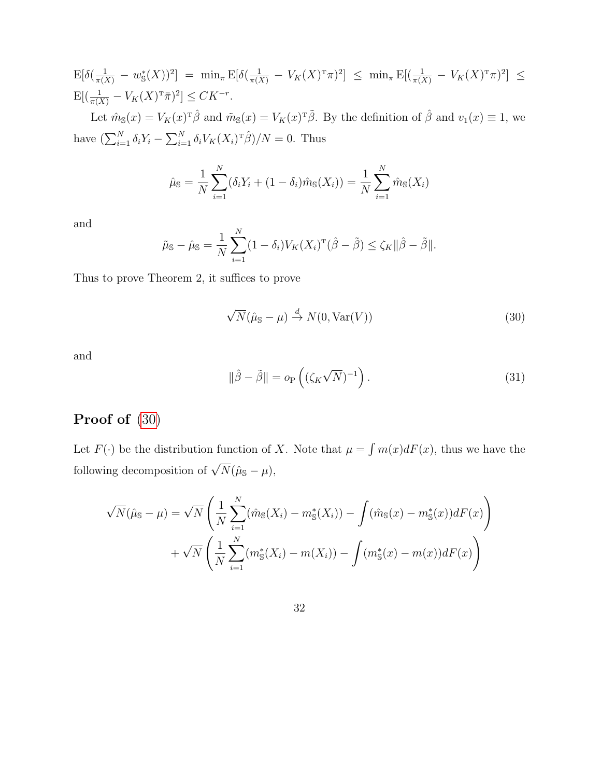$$
E[\delta(\frac{1}{\pi(X)} - w_S^*(X))^2] = \min_{\pi} E[\delta(\frac{1}{\pi(X)} - V_K(X)^T \pi)^2] \le \min_{\pi} E[(\frac{1}{\pi(X)} - V_K(X)^T \pi)^2] \le E[(\frac{1}{\pi(X)} - V_K(X)^T \pi)^2] \le CK^{-r}.
$$

Let  $\hat{m}_{\mathbb{S}}(x) = V_K(x)^T \hat{\beta}$  and  $\tilde{m}_{\mathbb{S}}(x) = V_K(x)^T \tilde{\beta}$ . By the definition of  $\hat{\beta}$  and  $v_1(x) \equiv 1$ , we have  $\left(\sum_{i=1}^N \delta_i Y_i - \sum_{i=1}^N \delta_i V_K(X_i)^T \hat{\beta}\right)/N = 0$ . Thus

$$
\hat{\mu}_{\mathbb{S}} = \frac{1}{N} \sum_{i=1}^{N} (\delta_i Y_i + (1 - \delta_i) \hat{m}_{\mathbb{S}}(X_i)) = \frac{1}{N} \sum_{i=1}^{N} \hat{m}_{\mathbb{S}}(X_i)
$$

and

$$
\tilde{\mu}_{\mathbb{S}} - \hat{\mu}_{\mathbb{S}} = \frac{1}{N} \sum_{i=1}^{N} (1 - \delta_i) V_K(X_i)^{\mathrm{T}} (\hat{\beta} - \tilde{\beta}) \le \zeta_K ||\hat{\beta} - \tilde{\beta}||.
$$

Thus to prove Theorem 2, it suffices to prove

<span id="page-31-0"></span>
$$
\sqrt{N}(\hat{\mu}_{\mathbb{S}} - \mu) \stackrel{d}{\to} N(0, \text{Var}(V))
$$
\n(30)

and

<span id="page-31-1"></span>
$$
\|\hat{\beta} - \tilde{\beta}\| = o_P\left( (\zeta_K \sqrt{N})^{-1} \right). \tag{31}
$$

## Proof of [\(30\)](#page-31-0)

Let  $F(\cdot)$  be the distribution function of X. Note that  $\mu = \int m(x)dF(x)$ , thus we have the following decomposition of  $\sqrt{N}(\hat{\mu}_{\mathbb{S}} - \mu)$ ,

$$
\sqrt{N}(\hat{\mu}_{\mathbb{S}} - \mu) = \sqrt{N} \left( \frac{1}{N} \sum_{i=1}^{N} (\hat{m}_{\mathbb{S}}(X_i) - m_{\mathbb{S}}^*(X_i)) - \int (\hat{m}_{\mathbb{S}}(x) - m_{\mathbb{S}}^*(x))dF(x) \right) + \sqrt{N} \left( \frac{1}{N} \sum_{i=1}^{N} (m_{\mathbb{S}}^*(X_i) - m(X_i)) - \int (m_{\mathbb{S}}^*(x) - m(x))dF(x) \right)
$$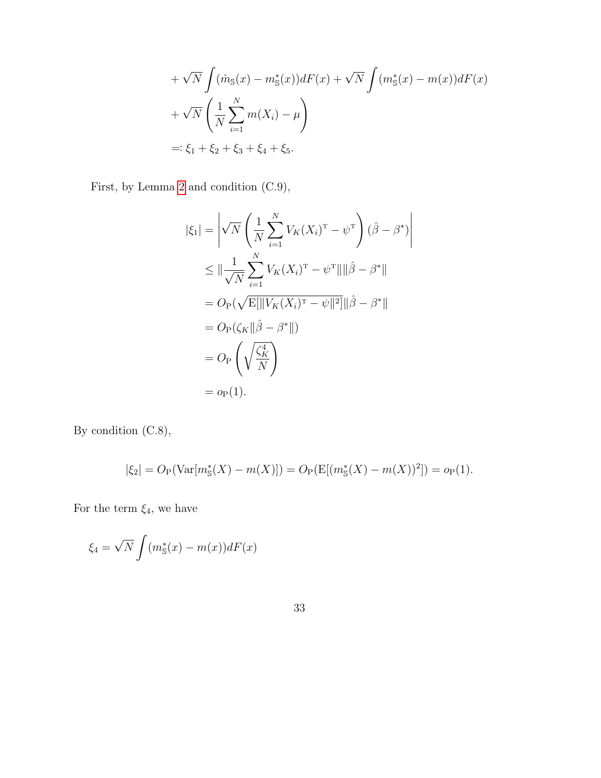+
$$
\sqrt{N} \int (\hat{m}_{s}(x) - m_{s}^{*}(x))dF(x) + \sqrt{N} \int (m_{s}^{*}(x) - m(x))dF(x)
$$
  
+ $\sqrt{N} \left( \frac{1}{N} \sum_{i=1}^{N} m(X_{i}) - \mu \right)$   
=:  $\xi_{1} + \xi_{2} + \xi_{3} + \xi_{4} + \xi_{5}$ .

First, by Lemma [2](#page-38-0) and condition (C.9),

$$
|\xi_1| = \left| \sqrt{N} \left( \frac{1}{N} \sum_{i=1}^N V_K(X_i)^{\mathrm{T}} - \psi^{\mathrm{T}} \right) (\hat{\beta} - \beta^*) \right|
$$
  
\n
$$
\leq \| \frac{1}{\sqrt{N}} \sum_{i=1}^N V_K(X_i)^{\mathrm{T}} - \psi^{\mathrm{T}} \| \|\hat{\beta} - \beta^* \|
$$
  
\n
$$
= O_{\mathrm{P}}(\sqrt{\mathrm{E}[\| V_K(X_i)^{\mathrm{T}} - \psi \|^2]} \| \hat{\beta} - \beta^* \|)
$$
  
\n
$$
= O_{\mathrm{P}}(\zeta_K \| \hat{\beta} - \beta^* \|)
$$
  
\n
$$
= O_{\mathrm{P}}\left( \sqrt{\frac{\zeta_K^4}{N}} \right)
$$
  
\n
$$
= o_{\mathrm{P}}(1).
$$

By condition (C.8),

$$
|\xi_2| = O_P(\text{Var}[m^*_s(X) - m(X)]) = O_P(E[(m^*_s(X) - m(X))^2]) = o_P(1).
$$

For the term  $\xi_4$ , we have

$$
\xi_4 = \sqrt{N} \int (m_{\mathbb{S}}^*(x) - m(x))dF(x)
$$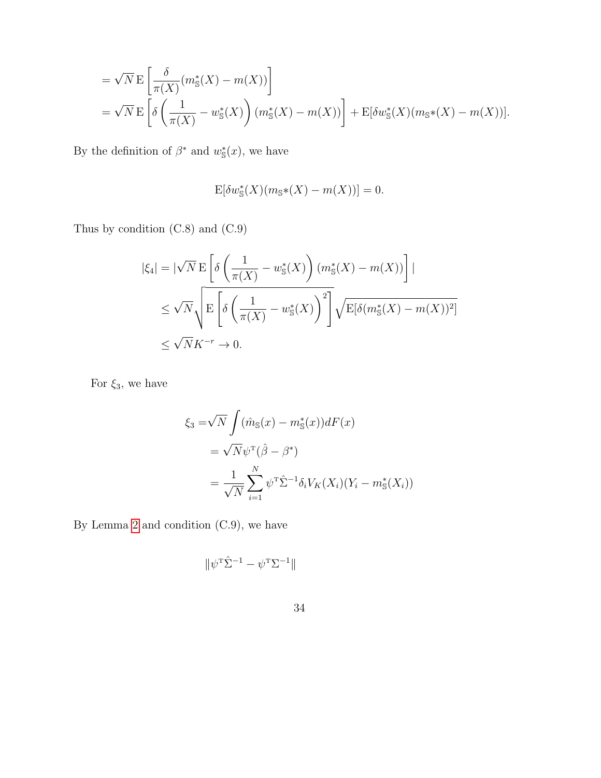$$
= \sqrt{N} \mathcal{E}\left[\frac{\delta}{\pi(X)}(m_{\mathbb{S}}^{*}(X) - m(X))\right]
$$
  
=  $\sqrt{N} \mathcal{E}\left[\delta\left(\frac{1}{\pi(X)} - w_{\mathbb{S}}^{*}(X)\right)(m_{\mathbb{S}}^{*}(X) - m(X))\right] + \mathcal{E}[\delta w_{\mathbb{S}}^{*}(X)(m_{\mathbb{S}}*(X) - m(X))].$ 

By the definition of  $\beta^*$  and  $w^*_{\mathbb{S}}(x)$ , we have

$$
\mathbf{E}[\delta w_{\mathbb{S}}^{*}(X)(m_{\mathbb{S}}*(X) - m(X))] = 0.
$$

Thus by condition (C.8) and (C.9)

$$
|\xi_4| = |\sqrt{N} \mathcal{E}\left[\delta\left(\frac{1}{\pi(X)} - w^*_{\mathbb{S}}(X)\right)(m^*_{\mathbb{S}}(X) - m(X))\right]|
$$
  

$$
\leq \sqrt{N} \sqrt{\mathcal{E}\left[\delta\left(\frac{1}{\pi(X)} - w^*_{\mathbb{S}}(X)\right)^2\right]}\sqrt{\mathcal{E}[\delta(m^*_{\mathbb{S}}(X) - m(X))^2]}
$$
  

$$
\leq \sqrt{N}K^{-r} \to 0.
$$

For  $\xi_3,$  we have

$$
\xi_3 = \sqrt{N} \int (\hat{m}_s(x) - m_s^*(x))dF(x)
$$
  
=  $\sqrt{N}\psi^T(\hat{\beta} - \beta^*)$   
=  $\frac{1}{\sqrt{N}} \sum_{i=1}^N \psi^T \hat{\Sigma}^{-1} \delta_i V_K(X_i)(Y_i - m_s^*(X_i))$ 

By Lemma [2](#page-38-0) and condition (C.9), we have

$$
\|\psi^{\scriptscriptstyle{\text{T}}}\hat{\Sigma}^{-1} - \psi^{\scriptscriptstyle{\text{T}}}\Sigma^{-1}\|
$$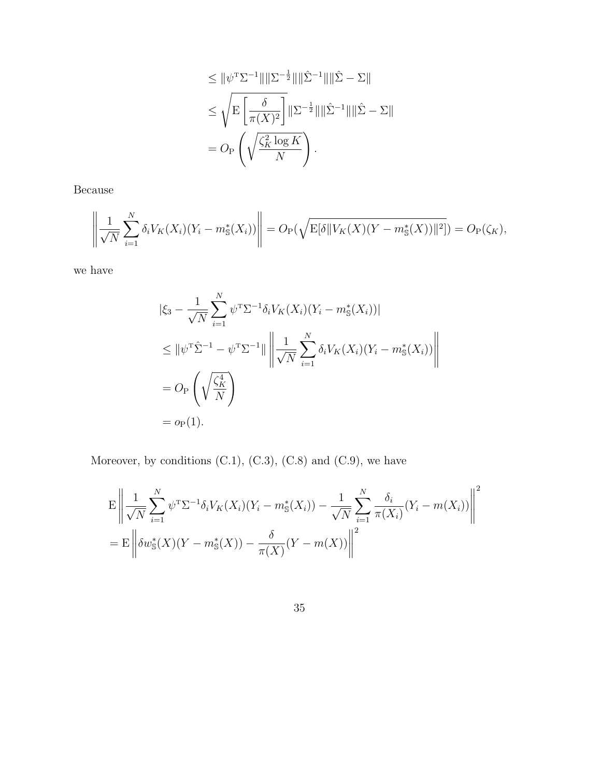$$
\leq \|\psi^{\mathrm{T}}\Sigma^{-1}\|\|\Sigma^{-\frac{1}{2}}\|\|\hat{\Sigma}^{-1}\|\|\hat{\Sigma}-\Sigma\|
$$
  

$$
\leq \sqrt{\mathrm{E}\left[\frac{\delta}{\pi(X)^2}\right]}\|\Sigma^{-\frac{1}{2}}\|\|\hat{\Sigma}^{-1}\|\|\hat{\Sigma}-\Sigma\|
$$
  

$$
= O_{\mathrm{P}}\left(\sqrt{\frac{\zeta_K^2\log K}{N}}\right).
$$

Because

$$
\left\| \frac{1}{\sqrt{N}} \sum_{i=1}^{N} \delta_i V_K(X_i) (Y_i - m_{\mathbb{S}}^*(X_i)) \right\| = O_P(\sqrt{\mathbb{E}[\delta \| V_K(X) (Y - m_{\mathbb{S}}^*(X)) \|^2])} = O_P(\zeta_K),
$$

we have

$$
\begin{split} |\xi_{3} - \frac{1}{\sqrt{N}} \sum_{i=1}^{N} \psi^{\mathrm{T}} \Sigma^{-1} \delta_{i} V_{K}(X_{i}) (Y_{i} - m_{\mathbb{S}}^{*}(X_{i}))| \\ &\leq \|\psi^{\mathrm{T}} \hat{\Sigma}^{-1} - \psi^{\mathrm{T}} \Sigma^{-1}\| \left\| \frac{1}{\sqrt{N}} \sum_{i=1}^{N} \delta_{i} V_{K}(X_{i}) (Y_{i} - m_{\mathbb{S}}^{*}(X_{i})) \right\| \\ & = O_{\mathrm{P}} \left( \sqrt{\frac{\zeta_{K}^{4}}{N}} \right) \\ & = o_{\mathrm{P}}(1). \end{split}
$$

Moreover, by conditions  $(C.1)$ ,  $(C.3)$ ,  $(C.8)$  and  $(C.9)$ , we have

$$
E\left\| \frac{1}{\sqrt{N}} \sum_{i=1}^{N} \psi^{T} \Sigma^{-1} \delta_{i} V_{K}(X_{i}) (Y_{i} - m_{\mathbb{S}}^{*}(X_{i})) - \frac{1}{\sqrt{N}} \sum_{i=1}^{N} \frac{\delta_{i}}{\pi(X_{i})} (Y_{i} - m(X_{i})) \right\|^{2}
$$
  
= 
$$
E\left\| \delta w_{\mathbb{S}}^{*}(X)(Y - m_{\mathbb{S}}^{*}(X)) - \frac{\delta}{\pi(X)} (Y - m(X)) \right\|^{2}
$$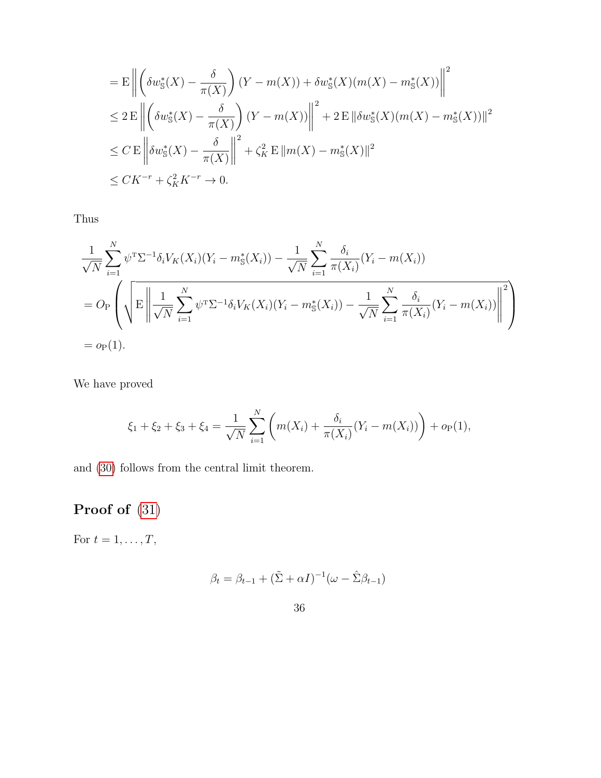$$
= \mathcal{E} \left\| \left( \delta w_{\mathbb{S}}^{*}(X) - \frac{\delta}{\pi(X)} \right) (Y - m(X)) + \delta w_{\mathbb{S}}^{*}(X)(m(X) - m_{\mathbb{S}}^{*}(X)) \right\|^{2}
$$
  
\n
$$
\leq 2 \mathcal{E} \left\| \left( \delta w_{\mathbb{S}}^{*}(X) - \frac{\delta}{\pi(X)} \right) (Y - m(X)) \right\|^{2} + 2 \mathcal{E} \left\| \delta w_{\mathbb{S}}^{*}(X)(m(X) - m_{\mathbb{S}}^{*}(X)) \right\|^{2}
$$
  
\n
$$
\leq C \mathcal{E} \left\| \delta w_{\mathbb{S}}^{*}(X) - \frac{\delta}{\pi(X)} \right\|^{2} + \zeta_{K}^{2} \mathcal{E} \left\| m(X) - m_{\mathbb{S}}^{*}(X) \right\|^{2}
$$
  
\n
$$
\leq CK^{-r} + \zeta_{K}^{2} K^{-r} \to 0.
$$

Thus

$$
\frac{1}{\sqrt{N}} \sum_{i=1}^{N} \psi^{\mathrm{T}} \Sigma^{-1} \delta_i V_K(X_i) (Y_i - m_{\mathrm{S}}^*(X_i)) - \frac{1}{\sqrt{N}} \sum_{i=1}^{N} \frac{\delta_i}{\pi(X_i)} (Y_i - m(X_i))
$$
\n
$$
= O_P \left( \sqrt{\mathbb{E} \left\| \frac{1}{\sqrt{N}} \sum_{i=1}^{N} \psi^{\mathrm{T}} \Sigma^{-1} \delta_i V_K(X_i) (Y_i - m_{\mathrm{S}}^*(X_i)) - \frac{1}{\sqrt{N}} \sum_{i=1}^{N} \frac{\delta_i}{\pi(X_i)} (Y_i - m(X_i)) \right\|^2} \right)
$$
\n
$$
= o_P(1).
$$

We have proved

$$
\xi_1 + \xi_2 + \xi_3 + \xi_4 = \frac{1}{\sqrt{N}} \sum_{i=1}^N \left( m(X_i) + \frac{\delta_i}{\pi(X_i)} (Y_i - m(X_i)) \right) + o_P(1),
$$

and [\(30\)](#page-31-0) follows from the central limit theorem.

# Proof of [\(31\)](#page-31-1)

For  $t = 1, \ldots, T$ ,

$$
\beta_t = \beta_{t-1} + (\tilde{\Sigma} + \alpha I)^{-1} (\omega - \hat{\Sigma}\beta_{t-1})
$$

36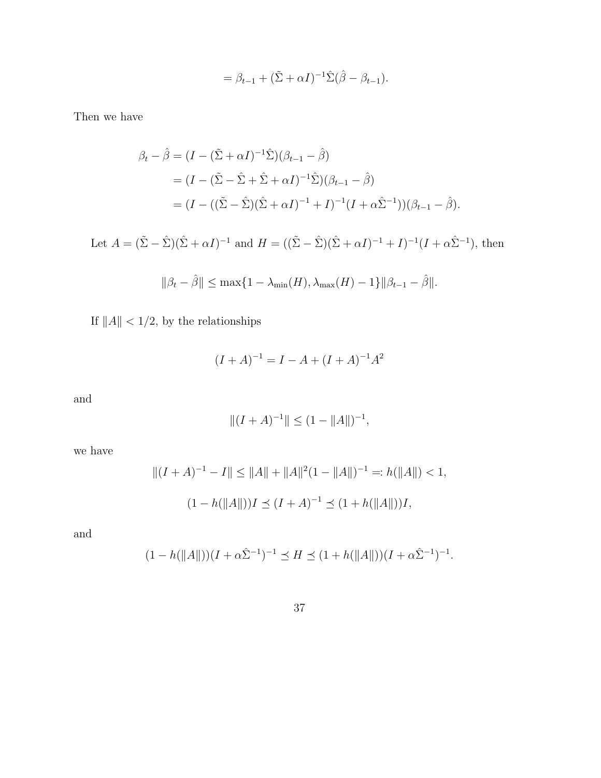$$
= \beta_{t-1} + (\tilde{\Sigma} + \alpha I)^{-1} \hat{\Sigma} (\hat{\beta} - \beta_{t-1}).
$$

Then we have

$$
\beta_t - \hat{\beta} = (I - (\tilde{\Sigma} + \alpha I)^{-1} \hat{\Sigma}) (\beta_{t-1} - \hat{\beta})
$$
  
=  $(I - (\tilde{\Sigma} - \hat{\Sigma} + \hat{\Sigma} + \alpha I)^{-1} \hat{\Sigma}) (\beta_{t-1} - \hat{\beta})$   
=  $(I - ((\tilde{\Sigma} - \hat{\Sigma})(\hat{\Sigma} + \alpha I)^{-1} + I)^{-1} (I + \alpha \hat{\Sigma}^{-1})) (\beta_{t-1} - \hat{\beta}).$ 

Let  $A = (\tilde{\Sigma} - \hat{\Sigma})(\hat{\Sigma} + \alpha I)^{-1}$  and  $H = ((\tilde{\Sigma} - \hat{\Sigma})(\hat{\Sigma} + \alpha I)^{-1} + I)^{-1}(I + \alpha \hat{\Sigma}^{-1}),$  then

$$
\|\beta_t - \hat{\beta}\| \le \max\{1 - \lambda_{\min}(H), \lambda_{\max}(H) - 1\} \|\beta_{t-1} - \hat{\beta}\|.
$$

If  $\|A\|<1/2,$  by the relationships

$$
(I + A)^{-1} = I - A + (I + A)^{-1}A^{2}
$$

and

$$
||(I + A)^{-1}|| \le (1 - ||A||)^{-1},
$$

we have

$$
||(I + A)^{-1} - I|| \le ||A|| + ||A||^2 (1 - ||A||)^{-1} =: h(||A||) < 1,
$$
  

$$
(1 - h(||A||))I \le (I + A)^{-1} \le (1 + h(||A||))I,
$$

and

$$
(1 - h(||A||))(I + \alpha \hat{\Sigma}^{-1})^{-1} \preceq H \preceq (1 + h(||A||))(I + \alpha \hat{\Sigma}^{-1})^{-1}.
$$

$$
37\,
$$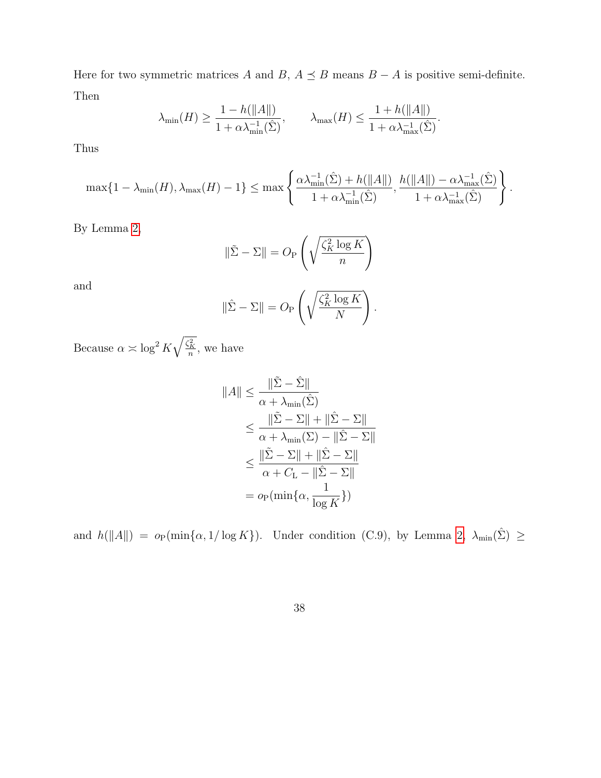Here for two symmetric matrices A and B,  $A \preceq B$  means  $B - A$  is positive semi-definite. Then

$$
\lambda_{\min}(H) \ge \frac{1 - h(\|A\|)}{1 + \alpha \lambda_{\min}^{-1}(\hat{\Sigma})}, \qquad \lambda_{\max}(H) \le \frac{1 + h(\|A\|)}{1 + \alpha \lambda_{\max}^{-1}(\hat{\Sigma})}.
$$

Thus

$$
\max\{1-\lambda_{\min}(H), \lambda_{\max}(H)-1\} \leq \max\left\{\frac{\alpha\lambda_{\min}^{-1}(\hat{\Sigma})+h(\|A\|)}{1+\alpha\lambda_{\min}^{-1}(\hat{\Sigma})}, \frac{h(\|A\|)-\alpha\lambda_{\max}^{-1}(\hat{\Sigma})}{1+\alpha\lambda_{\max}^{-1}(\hat{\Sigma})}\right\}.
$$

By Lemma [2,](#page-38-0)

$$
\|\tilde{\Sigma} - \Sigma\| = O_{P}\left(\sqrt{\frac{\zeta_K^2 \log K}{n}}\right)
$$

and

$$
\|\hat{\Sigma} - \Sigma\| = O_{\mathbb{P}}\left(\sqrt{\frac{\zeta_K^2 \log K}{N}}\right).
$$

Because  $\alpha \asymp \log^2 K \sqrt{\frac{\zeta_K^2}{n}}$ , we have

$$
||A|| \leq \frac{||\tilde{\Sigma} - \hat{\Sigma}||}{\alpha + \lambda_{\min}(\hat{\Sigma})}
$$
  
\n
$$
\leq \frac{||\tilde{\Sigma} - \Sigma|| + ||\hat{\Sigma} - \Sigma||}{\alpha + \lambda_{\min}(\Sigma) - ||\hat{\Sigma} - \Sigma||}
$$
  
\n
$$
\leq \frac{||\tilde{\Sigma} - \Sigma|| + ||\hat{\Sigma} - \Sigma||}{\alpha + C_{\text{L}} - ||\hat{\Sigma} - \Sigma||}
$$
  
\n
$$
= o_{\text{P}}(\min\{\alpha, \frac{1}{\log K}\})
$$

and  $h(||A||) = o_P(\min{\alpha, 1/\log K})$ . Under condition (C.9), by Lemma [2,](#page-38-0)  $\lambda_{\min}(\hat{\Sigma}) \ge$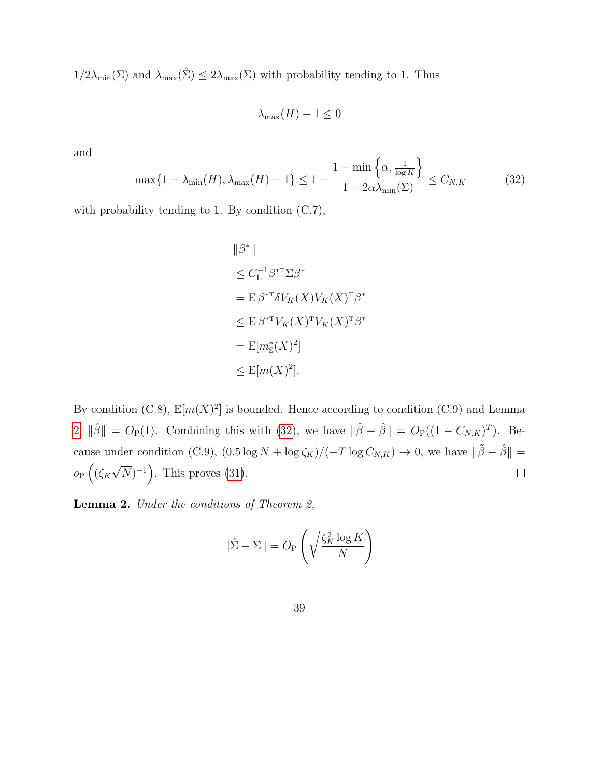$1/2\lambda_{\min}(\Sigma)$  and  $\lambda_{\max}(\hat{\Sigma}) \leq 2\lambda_{\max}(\Sigma)$  with probability tending to 1. Thus

 $\lambda_{\max}(H) - 1 \leq 0$ 

and

<span id="page-38-1"></span>
$$
\max\{1 - \lambda_{\min}(H), \lambda_{\max}(H) - 1\} \le 1 - \frac{1 - \min\left\{\alpha, \frac{1}{\log K}\right\}}{1 + 2\alpha\lambda_{\min}(\Sigma)} \le C_{N,K}
$$
(32)

with probability tending to 1. By condition (C.7),

$$
\|\beta^*\|
$$
  
\n
$$
\leq C_{\mathcal{L}}^{-1} \beta^{*T} \Sigma \beta^*
$$
  
\n
$$
= \mathcal{E} \beta^{*T} \delta V_K(X) V_K(X)^T \beta^*
$$
  
\n
$$
\leq \mathcal{E} \beta^{*T} V_K(X)^T V_K(X)^T \beta^*
$$
  
\n
$$
= \mathcal{E}[m_{\mathcal{S}}(X)^2]
$$
  
\n
$$
\leq \mathcal{E}[m(X)^2].
$$

By condition  $(C.8)$ ,  $E[m(X)^2]$  is bounded. Hence according to condition  $(C.9)$  and Lemma [2,](#page-38-0)  $\|\hat{\beta}\| = O_P(1)$ . Combining this with [\(32\)](#page-38-1), we have  $\|\tilde{\beta} - \hat{\beta}\| = O_P((1 - C_{N,K})^T)$ . Because under condition (C.9),  $(0.5 \log N + \log \zeta_K)/(-T \log C_{N,K}) \to 0$ , we have  $\|\tilde{\beta} - \hat{\beta}\|$  = √  $o_P\left((\zeta_K\sqrt{N})^{-1}\right)$ . This proves [\(31\)](#page-31-1).  $\Box$ 

<span id="page-38-0"></span>Lemma 2. Under the conditions of Theorem 2,

$$
\|\hat{\Sigma} - \Sigma\| = O_{P}\left(\sqrt{\frac{\zeta_K^2 \log K}{N}}\right)
$$

39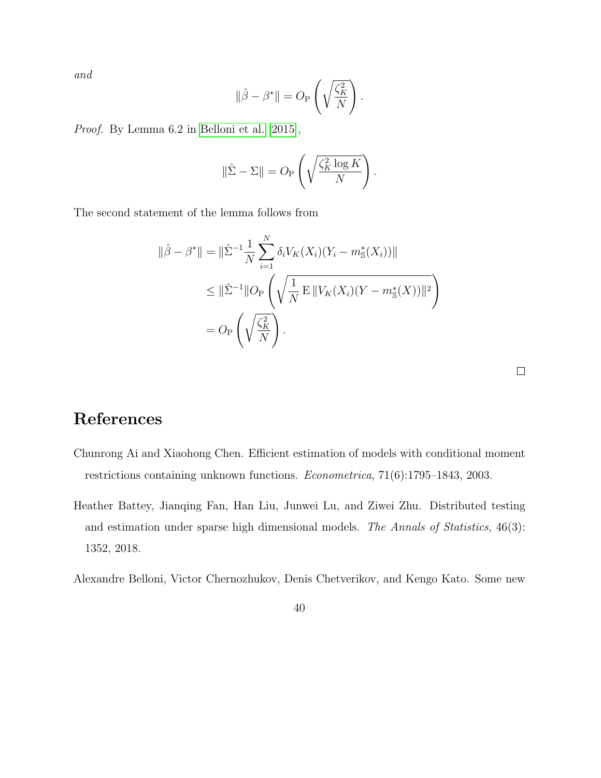and

$$
\|\hat{\beta} - \beta^*\| = O_P\left(\sqrt{\frac{\zeta_K^2}{N}}\right).
$$

Proof. By Lemma 6.2 in [Belloni et al.](#page-39-2) [\[2015\]](#page-39-2),

$$
\|\hat{\Sigma} - \Sigma\| = O_{\mathcal{P}}\left(\sqrt{\frac{\zeta_K^2 \log K}{N}}\right).
$$

The second statement of the lemma follows from

$$
\|\hat{\beta} - \beta^*\| = \|\hat{\Sigma}^{-1} \frac{1}{N} \sum_{i=1}^N \delta_i V_K(X_i) (Y_i - m^*_{\mathbb{S}}(X_i))\|
$$
  
\n
$$
\leq \|\hat{\Sigma}^{-1} \|O_P\left(\sqrt{\frac{1}{N} \mathbb{E} \|V_K(X_i)(Y - m^*_{\mathbb{S}}(X))\|^2}\right)
$$
  
\n
$$
= O_P\left(\sqrt{\frac{\zeta_K^2}{N}}\right).
$$

# References

- <span id="page-39-1"></span>Chunrong Ai and Xiaohong Chen. Efficient estimation of models with conditional moment restrictions containing unknown functions. Econometrica, 71(6):1795–1843, 2003.
- <span id="page-39-0"></span>Heather Battey, Jianqing Fan, Han Liu, Junwei Lu, and Ziwei Zhu. Distributed testing and estimation under sparse high dimensional models. The Annals of Statistics, 46(3): 1352, 2018.

<span id="page-39-2"></span>Alexandre Belloni, Victor Chernozhukov, Denis Chetverikov, and Kengo Kato. Some new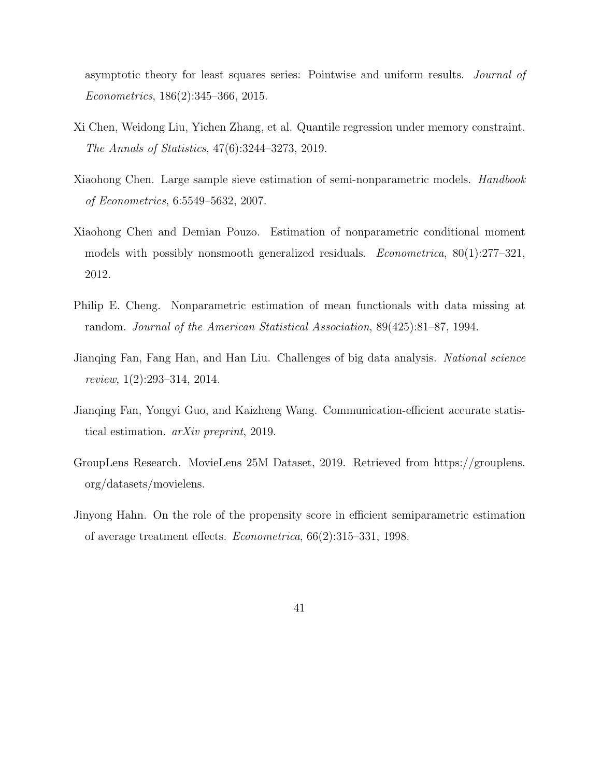asymptotic theory for least squares series: Pointwise and uniform results. Journal of Econometrics, 186(2):345–366, 2015.

- <span id="page-40-3"></span>Xi Chen, Weidong Liu, Yichen Zhang, et al. Quantile regression under memory constraint. The Annals of Statistics, 47(6):3244–3273, 2019.
- <span id="page-40-4"></span>Xiaohong Chen. Large sample sieve estimation of semi-nonparametric models. *Handbook* of Econometrics, 6:5549–5632, 2007.
- <span id="page-40-5"></span>Xiaohong Chen and Demian Pouzo. Estimation of nonparametric conditional moment models with possibly nonsmooth generalized residuals. Econometrica, 80(1):277–321, 2012.
- <span id="page-40-0"></span>Philip E. Cheng. Nonparametric estimation of mean functionals with data missing at random. Journal of the American Statistical Association, 89(425):81–87, 1994.
- <span id="page-40-2"></span>Jianqing Fan, Fang Han, and Han Liu. Challenges of big data analysis. National science review, 1(2):293–314, 2014.
- <span id="page-40-6"></span>Jianqing Fan, Yongyi Guo, and Kaizheng Wang. Communication-efficient accurate statistical estimation. arXiv preprint, 2019.
- <span id="page-40-7"></span>GroupLens Research. MovieLens 25M Dataset, 2019. Retrieved from https://grouplens. org/datasets/movielens.
- <span id="page-40-1"></span>Jinyong Hahn. On the role of the propensity score in efficient semiparametric estimation of average treatment effects. Econometrica, 66(2):315–331, 1998.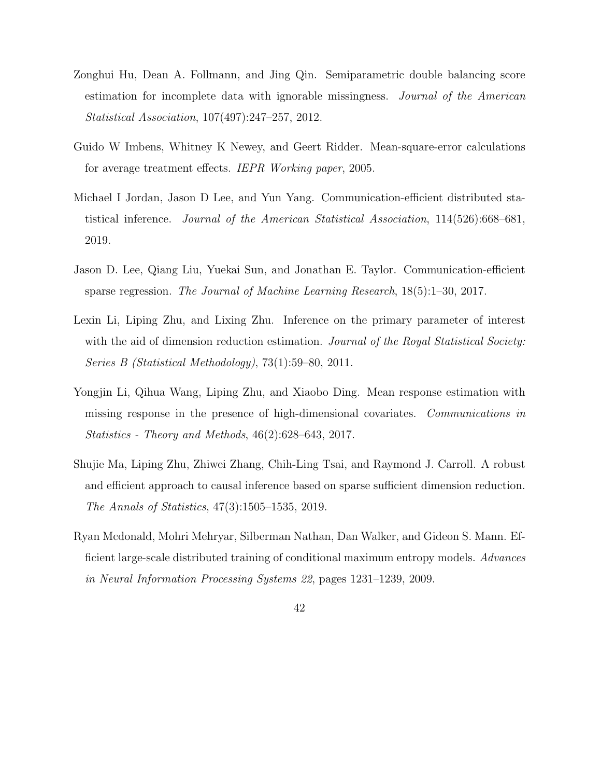- <span id="page-41-3"></span>Zonghui Hu, Dean A. Follmann, and Jing Qin. Semiparametric double balancing score estimation for incomplete data with ignorable missingness. Journal of the American Statistical Association, 107(497):247–257, 2012.
- <span id="page-41-7"></span>Guido W Imbens, Whitney K Newey, and Geert Ridder. Mean-square-error calculations for average treatment effects. IEPR Working paper, 2005.
- <span id="page-41-2"></span>Michael I Jordan, Jason D Lee, and Yun Yang. Communication-efficient distributed statistical inference. Journal of the American Statistical Association, 114(526):668–681, 2019.
- <span id="page-41-1"></span>Jason D. Lee, Qiang Liu, Yuekai Sun, and Jonathan E. Taylor. Communication-efficient sparse regression. The Journal of Machine Learning Research, 18(5):1–30, 2017.
- <span id="page-41-4"></span>Lexin Li, Liping Zhu, and Lixing Zhu. Inference on the primary parameter of interest with the aid of dimension reduction estimation. Journal of the Royal Statistical Society: Series B (Statistical Methodology), 73(1):59–80, 2011.
- <span id="page-41-5"></span>Yongjin Li, Qihua Wang, Liping Zhu, and Xiaobo Ding. Mean response estimation with missing response in the presence of high-dimensional covariates. Communications in Statistics - Theory and Methods, 46(2):628–643, 2017.
- <span id="page-41-6"></span>Shujie Ma, Liping Zhu, Zhiwei Zhang, Chih-Ling Tsai, and Raymond J. Carroll. A robust and efficient approach to causal inference based on sparse sufficient dimension reduction. The Annals of Statistics, 47(3):1505–1535, 2019.
- <span id="page-41-0"></span>Ryan Mcdonald, Mohri Mehryar, Silberman Nathan, Dan Walker, and Gideon S. Mann. Efficient large-scale distributed training of conditional maximum entropy models. Advances in Neural Information Processing Systems 22, pages 1231–1239, 2009.